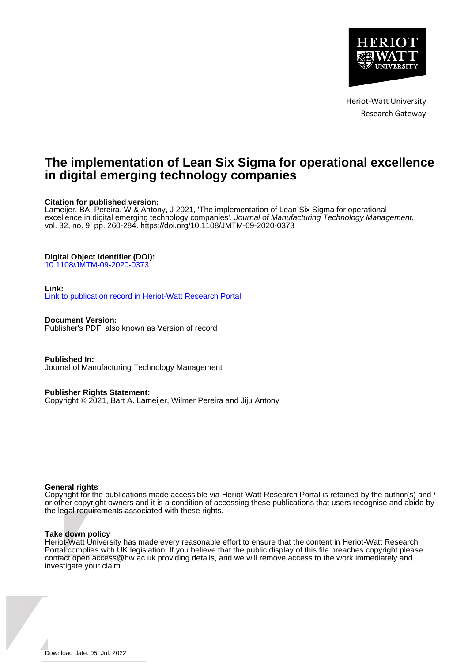

Heriot-Watt University Research Gateway

## **The implementation of Lean Six Sigma for operational excellence in digital emerging technology companies**

## **Citation for published version:**

Lameijer, BA, Pereira, W & Antony, J 2021, 'The implementation of Lean Six Sigma for operational excellence in digital emerging technology companies', Journal of Manufacturing Technology Management, vol. 32, no. 9, pp. 260-284. <https://doi.org/10.1108/JMTM-09-2020-0373>

## **Digital Object Identifier (DOI):**

[10.1108/JMTM-09-2020-0373](https://doi.org/10.1108/JMTM-09-2020-0373)

## **Link:**

[Link to publication record in Heriot-Watt Research Portal](https://researchportal.hw.ac.uk/en/publications/dc200a42-dd84-4710-81ed-617ad69d682c)

**Document Version:** Publisher's PDF, also known as Version of record

**Published In:** Journal of Manufacturing Technology Management

**Publisher Rights Statement:**

Copyright © 2021, Bart A. Lameijer, Wilmer Pereira and Jiju Antony

## **General rights**

Copyright for the publications made accessible via Heriot-Watt Research Portal is retained by the author(s) and / or other copyright owners and it is a condition of accessing these publications that users recognise and abide by the legal requirements associated with these rights.

## **Take down policy**

Heriot-Watt University has made every reasonable effort to ensure that the content in Heriot-Watt Research Portal complies with UK legislation. If you believe that the public display of this file breaches copyright please contact open.access@hw.ac.uk providing details, and we will remove access to the work immediately and investigate your claim.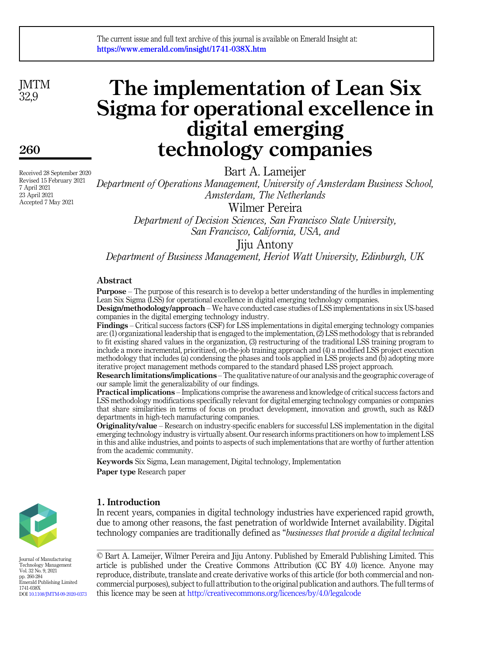**IMTM** 32,9

260

Received 28 September 2020 Revised 15 February 2021 7 April 2021 23 April 2021 Accepted 7 May 2021

# The implementation of Lean Six Sigma for operational excellence in digital emerging technology companies

Bart A. Lameijer

Department of Operations Management, University of Amsterdam Business School, Amsterdam, The Netherlands

Wilmer Pereira

Department of Decision Sciences, San Francisco State University, San Francisco, California, USA, and

Jiju Antony

Department of Business Management, Heriot Watt University, Edinburgh, UK

## Abstract

Purpose – The purpose of this research is to develop a better understanding of the hurdles in implementing Lean Six Sigma (LSS) for operational excellence in digital emerging technology companies.

Design/methodology/approach – We have conducted case studies of LSS implementations in six US-based companies in the digital emerging technology industry.

Findings – Critical success factors (CSF) for LSS implementations in digital emerging technology companies are: (1) organizational leadership that is engaged to the implementation, (2) LSS methodology that is rebranded to fit existing shared values in the organization, (3) restructuring of the traditional LSS training program to include a more incremental, prioritized, on-the-job training approach and (4) a modified LSS project execution methodology that includes (a) condensing the phases and tools applied in LSS projects and (b) adopting more iterative project management methods compared to the standard phased LSS project approach.

Research limitations/implications –The qualitative nature of our analysis and the geographic coverage of our sample limit the generalizability of our findings.

Practical implications – Implications comprise the awareness and knowledge of critical success factors and LSS methodology modifications specifically relevant for digital emerging technology companies or companies that share similarities in terms of focus on product development, innovation and growth, such as R&D departments in high-tech manufacturing companies.

Originality/value – Research on industry-specific enablers for successful LSS implementation in the digital emerging technology industry is virtually absent. Our research informs practitioners on how to implement LSS in this and alike industries, and points to aspects of such implementations that are worthy of further attention from the academic community.

Keywords Six Sigma, Lean management, Digital technology, Implementation Paper type Research paper



Journal of Manufacturing Technology Management Vol. 32 No. 9, 2021 pp. 260-284 Emerald Publishing Limited 1741-038X DOI [10.1108/JMTM-09-2020-0373](https://doi.org/10.1108/JMTM-09-2020-0373)

## 1. Introduction

In recent years, companies in digital technology industries have experienced rapid growth, due to among other reasons, the fast penetration of worldwide Internet availability. Digital technology companies are traditionally defined as "businesses that provide a digital technical

© Bart A. Lameijer, Wilmer Pereira and Jiju Antony. Published by Emerald Publishing Limited. This article is published under the Creative Commons Attribution (CC BY 4.0) licence. Anyone may reproduce, distribute, translate and create derivative works of this article (for both commercial and noncommercial purposes), subject to full attribution to the original publication and authors. The full terms of this licence may be seen at <http://creativecommons.org/licences/by/4.0/legalcode>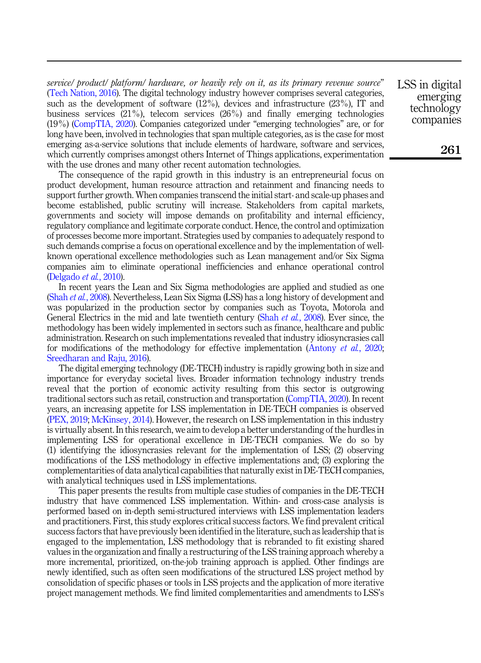service/ product/ platform/ hardware, or heavily rely on it, as its primary revenue source" ([Tech Nation, 2016](#page-24-0)). The digital technology industry however comprises several categories, such as the development of software (12%), devices and infrastructure (23%), IT and business services (21%), telecom services (26%) and finally emerging technologies (19%) [\(CompTIA, 2020\)](#page-21-0). Companies categorized under "emerging technologies" are, or for long have been, involved in technologies that span multiple categories, as is the case for most emerging as-a-service solutions that include elements of hardware, software and services, which currently comprises amongst others Internet of Things applications, experimentation with the use drones and many other recent automation technologies.

The consequence of the rapid growth in this industry is an entrepreneurial focus on product development, human resource attraction and retainment and financing needs to support further growth. When companies transcend the initial start- and scale-up phases and become established, public scrutiny will increase. Stakeholders from capital markets, governments and society will impose demands on profitability and internal efficiency, regulatory compliance and legitimate corporate conduct. Hence, the control and optimization of processes become more important. Strategies used by companies to adequately respond to such demands comprise a focus on operational excellence and by the implementation of wellknown operational excellence methodologies such as Lean management and/or Six Sigma companies aim to eliminate operational inefficiencies and enhance operational control ([Delgado](#page-21-1) et al., 2010).

In recent years the Lean and Six Sigma methodologies are applied and studied as one (Shah et al.[, 2008\)](#page-23-0). Nevertheless, Lean Six Sigma (LSS) has a long history of development and was popularized in the production sector by companies such as Toyota, Motorola and General Electrics in the mid and late twentieth century (Shah et al.[, 2008\)](#page-23-0). Ever since, the methodology has been widely implemented in sectors such as finance, healthcare and public administration. Research on such implementations revealed that industry idiosyncrasies call for modifications of the methodology for effective implementation [\(Antony](#page-21-2) *et al.*, 2020; [Sreedharan and Raju, 2016](#page-24-1)).

The digital emerging technology (DE-TECH) industry is rapidly growing both in size and importance for everyday societal lives. Broader information technology industry trends reveal that the portion of economic activity resulting from this sector is outgrowing traditional sectors such as retail, construction and transportation [\(CompTIA, 2020](#page-21-0)). In recent years, an increasing appetite for LSS implementation in DE-TECH companies is observed ([PEX, 2019;](#page-23-1) [McKinsey, 2014\)](#page-22-0). However, the research on LSS implementation in this industry is virtually absent. In this research, we aim to develop a better understanding of the hurdles in implementing LSS for operational excellence in DE-TECH companies. We do so by (1) identifying the idiosyncrasies relevant for the implementation of LSS; (2) observing modifications of the LSS methodology in effective implementations and; (3) exploring the complementarities of data analytical capabilities that naturally exist in DE-TECH companies, with analytical techniques used in LSS implementations.

This paper presents the results from multiple case studies of companies in the DE-TECH industry that have commenced LSS implementation. Within- and cross-case analysis is performed based on in-depth semi-structured interviews with LSS implementation leaders and practitioners. First, this study explores critical success factors. We find prevalent critical success factors that have previously been identified in the literature, such as leadership that is engaged to the implementation, LSS methodology that is rebranded to fit existing shared values in the organization and finally a restructuring of the LSS training approach whereby a more incremental, prioritized, on-the-job training approach is applied. Other findings are newly identified, such as often seen modifications of the structured LSS project method by consolidation of specific phases or tools in LSS projects and the application of more iterative project management methods. We find limited complementarities and amendments to LSS's LSS in digital emerging technology companies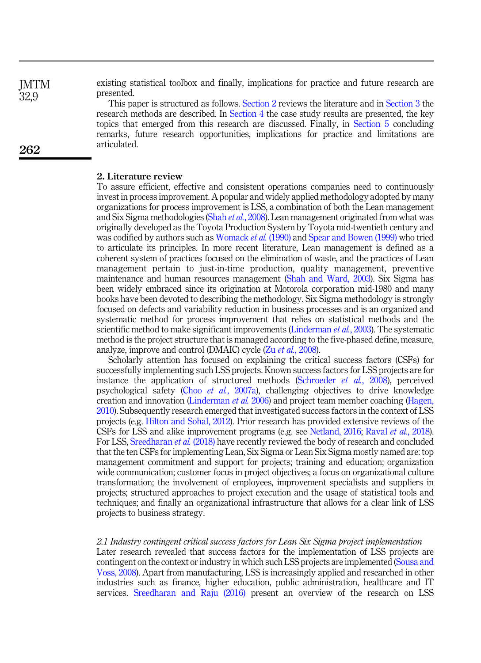existing statistical toolbox and finally, implications for practice and future research are presented.

This paper is structured as follows. [Section 2](#page-3-0) reviews the literature and in [Section 3](#page-6-0) the research methods are described. In [Section 4](#page-11-0) the case study results are presented, the key topics that emerged from this research are discussed. Finally, in [Section 5](#page-20-0) concluding remarks, future research opportunities, implications for practice and limitations are articulated.

#### <span id="page-3-0"></span>2. Literature review

To assure efficient, effective and consistent operations companies need to continuously invest in process improvement. A popular and widely applied methodology adopted by many organizations for process improvement is LSS, a combination of both the Lean management and Six Sigma methodologies (Shah et al.[, 2008](#page-23-0)). Lean management originated from what was originally developed as the Toyota Production System by Toyota mid-twentieth century and was codified by authors such as [Womack](#page-24-2) et al. (1990) and [Spear and Bowen \(1999\)](#page-23-2) who tried to articulate its principles. In more recent literature, Lean management is defined as a coherent system of practices focused on the elimination of waste, and the practices of Lean management pertain to just-in-time production, quality management, preventive maintenance and human resources management [\(Shah and Ward, 2003](#page-23-3)). Six Sigma has been widely embraced since its origination at Motorola corporation mid-1980 and many books have been devoted to describing the methodology. Six Sigma methodology is strongly focused on defects and variability reduction in business processes and is an organized and systematic method for process improvement that relies on statistical methods and the scientific method to make significant improvements ([Linderman](#page-22-1) *et al.*, 2003). The systematic method is the project structure that is managed according to the five-phased define, measure, analyze, improve and control (DMAIC) cycle (Zu et al.[, 2008\)](#page-24-3).

Scholarly attention has focused on explaining the critical success factors (CSFs) for successfully implementing such LSS projects. Known success factors for LSS projects are for instance the application of structured methods ([Schroeder](#page-23-4)  $et$  al., 2008), perceived psychological safety (Choo *et al.*[, 2007a\)](#page-21-3), challenging objectives to drive knowledge creation and innovation [\(Linderman](#page-22-2) et al. 2006) and project team member coaching ([Hagen,](#page-22-3) [2010\)](#page-22-3). Subsequently research emerged that investigated success factors in the context of LSS projects (e.g. [Hilton and Sohal, 2012](#page-22-4)). Prior research has provided extensive reviews of the CSFs for LSS and alike improvement programs (e.g. see [Netland, 2016;](#page-23-5) Raval et al.[, 2018\)](#page-23-6). For LSS, [Sreedharan](#page-23-7) et al. (2018) have recently reviewed the body of research and concluded that the ten CSFs for implementing Lean, Six Sigma or Lean Six Sigma mostly named are: top management commitment and support for projects; training and education; organization wide communication; customer focus in project objectives; a focus on organizational culture transformation; the involvement of employees, improvement specialists and suppliers in projects; structured approaches to project execution and the usage of statistical tools and techniques; and finally an organizational infrastructure that allows for a clear link of LSS projects to business strategy.

## 2.1 Industry contingent critical success factors for Lean Six Sigma project implementation

Later research revealed that success factors for the implementation of LSS projects are contingent on the context or industry in which such LSS projects are implemented [\(Sousa and](#page-23-8) [Voss, 2008\)](#page-23-8). Apart from manufacturing, LSS is increasingly applied and researched in other industries such as finance, higher education, public administration, healthcare and IT services. [Sreedharan and Raju \(2016\)](#page-24-1) present an overview of the research on LSS

**IMTM** 32,9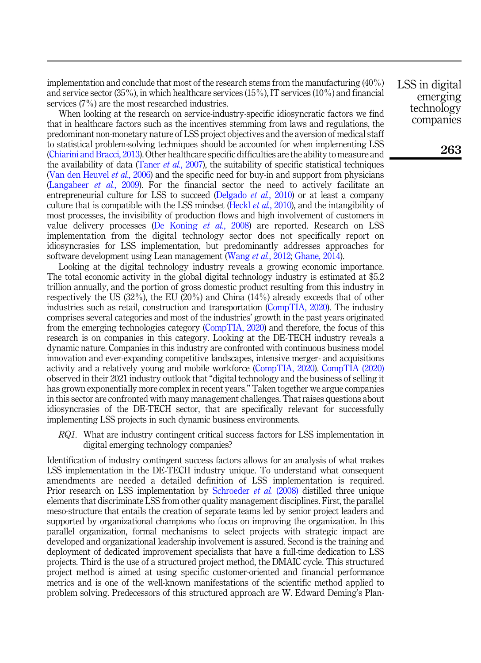implementation and conclude that most of the research stems from the manufacturing (40%) and service sector (35%), in which healthcare services (15%), IT services (10%) and financial services (7%) are the most researched industries.

When looking at the research on service-industry-specific idiosyncratic factors we find that in healthcare factors such as the incentives stemming from laws and regulations, the predominant non-monetary nature of LSS project objectives and the aversion of medical staff to statistical problem-solving techniques should be accounted for when implementing LSS ([Chiarini and Bracci, 2013](#page-21-4)). Other healthcare specific difficulties are the ability to measure and the availability of data [\(Taner](#page-24-4) *et al.*, 2007), the suitability of specific statistical techniques ([Van den Heuvel](#page-24-5) et al., 2006) and the specific need for buy-in and support from physicians ([Langabeer](#page-22-5) *et al.*, 2009). For the financial sector the need to actively facilitate an entrepreneurial culture for LSS to succeed ([Delgado](#page-21-1) *et al.*, 2010) or at least a company culture that is compatible with the LSS mindset (Heckl *et al.*[, 2010](#page-22-6)), and the intangibility of most processes, the invisibility of production flows and high involvement of customers in value delivery processes [\(De Koning](#page-21-5) et al., 2008) are reported. Research on LSS implementation from the digital technology sector does not specifically report on idiosyncrasies for LSS implementation, but predominantly addresses approaches for software development using Lean management [\(Wang](#page-24-6) *et al.*, 2012; [Ghane, 2014](#page-22-7)).

Looking at the digital technology industry reveals a growing economic importance. The total economic activity in the global digital technology industry is estimated at \$5.2 trillion annually, and the portion of gross domestic product resulting from this industry in respectively the US (32%), the EU (20%) and China (14%) already exceeds that of other industries such as retail, construction and transportation ([CompTIA, 2020\)](#page-21-0). The industry comprises several categories and most of the industries' growth in the past years originated from the emerging technologies category ([CompTIA, 2020\)](#page-21-0) and therefore, the focus of this research is on companies in this category. Looking at the DE-TECH industry reveals a dynamic nature. Companies in this industry are confronted with continuous business model innovation and ever-expanding competitive landscapes, intensive merger- and acquisitions activity and a relatively young and mobile workforce ([CompTIA, 2020\)](#page-21-0). [CompTIA \(2020\)](#page-21-0) observed in their 2021 industry outlook that "digital technology and the business of selling it has grown exponentially more complex in recent years." Taken together we argue companies in this sector are confronted with many management challenges. That raises questions about idiosyncrasies of the DE-TECH sector, that are specifically relevant for successfully implementing LSS projects in such dynamic business environments.

<span id="page-4-0"></span>RQ1. What are industry contingent critical success factors for LSS implementation in digital emerging technology companies?

Identification of industry contingent success factors allows for an analysis of what makes LSS implementation in the DE-TECH industry unique. To understand what consequent amendments are needed a detailed definition of LSS implementation is required. Prior research on LSS implementation by [Schroeder](#page-23-4) *et al.* (2008) distilled three unique elements that discriminate LSS from other quality management disciplines. First, the parallel meso-structure that entails the creation of separate teams led by senior project leaders and supported by organizational champions who focus on improving the organization. In this parallel organization, formal mechanisms to select projects with strategic impact are developed and organizational leadership involvement is assured. Second is the training and deployment of dedicated improvement specialists that have a full-time dedication to LSS projects. Third is the use of a structured project method, the DMAIC cycle. This structured project method is aimed at using specific customer-oriented and financial performance metrics and is one of the well-known manifestations of the scientific method applied to problem solving. Predecessors of this structured approach are W. Edward Deming's PlanLSS in digital emerging technology companies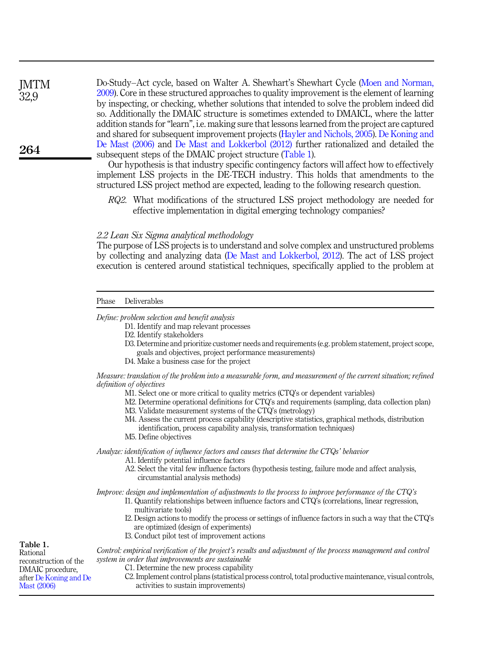Do-Study–Act cycle, based on Walter A. Shewhart's Shewhart Cycle ([Moen and Norman,](#page-23-9) [2009\)](#page-23-9). Core in these structured approaches to quality improvement is the element of learning by inspecting, or checking, whether solutions that intended to solve the problem indeed did so. Additionally the DMAIC structure is sometimes extended to DMAICL, where the latter addition stands for"learn", i.e. making sure that lessons learned from the project are captured and shared for subsequent improvement projects [\(Hayler and Nichols, 2005](#page-22-8)). [De Koning and](#page-21-6) [De Mast \(2006\)](#page-21-6) and [De Mast and Lokkerbol \(2012\)](#page-21-7) further rationalized and detailed the subsequent steps of the DMAIC project structure (Table 1).

Our hypothesis is that industry specific contingency factors will affect how to effectively implement LSS projects in the DE-TECH industry. This holds that amendments to the structured LSS project method are expected, leading to the following research question.

<span id="page-5-0"></span>RO2. What modifications of the structured LSS project methodology are needed for effective implementation in digital emerging technology companies?

#### 2.2 Lean Six Sigma analytical methodology

The purpose of LSS projects is to understand and solve complex and unstructured problems by collecting and analyzing data ([De Mast and Lokkerbol, 2012\)](#page-21-7). The act of LSS project execution is centered around statistical techniques, specifically applied to the problem at

| Phase | Deliverables |
|-------|--------------|
|-------|--------------|

Define: problem selection and benefit analysis

D1. Identify and map relevant processes

- D2. Identify stakeholders
- D3. Determine and prioritize customer needs and requirements (e.g. problem statement, project scope, goals and objectives, project performance measurements)
- D4. Make a business case for the project

Measure: translation of the problem into a measurable form, and measurement of the current situation; refined definition of objectives

- M1. Select one or more critical to quality metrics (CTQ's or dependent variables)
- M2. Determine operational definitions for CTQ's and requirements (sampling, data collection plan)
- M3. Validate measurement systems of the CTQ's (metrology)
- M4. Assess the current process capability (descriptive statistics, graphical methods, distribution identification, process capability analysis, transformation techniques)
- M5. Define objectives

Analyze: identification of influence factors and causes that determine the CTQs' behavior

- A1. Identify potential influence factors
- A2. Select the vital few influence factors (hypothesis testing, failure mode and affect analysis, circumstantial analysis methods)

Improve: design and implementation of adjustments to the process to improve performance of the CTQ's

- I1. Quantify relationships between influence factors and CTQ's (correlations, linear regression, multivariate tools)
- I2. Design actions to modify the process or settings of influence factors in such a way that the CTQ's are optimized (design of experiments)
- I3. Conduct pilot test of improvement actions

Control: empirical verification of the project's results and adjustment of the process management and control system in order that improvements are sustainable C1. Determine the new process capability C2. Implement control plans (statistical process control, total productive maintenance, visual controls, activities to sustain improvements) Table 1. Rational reconstruction of the DMAIC procedure, after [De Koning and De](#page-21-6) [Mast \(2006\)](#page-21-6)

264

**IMTM** 32,9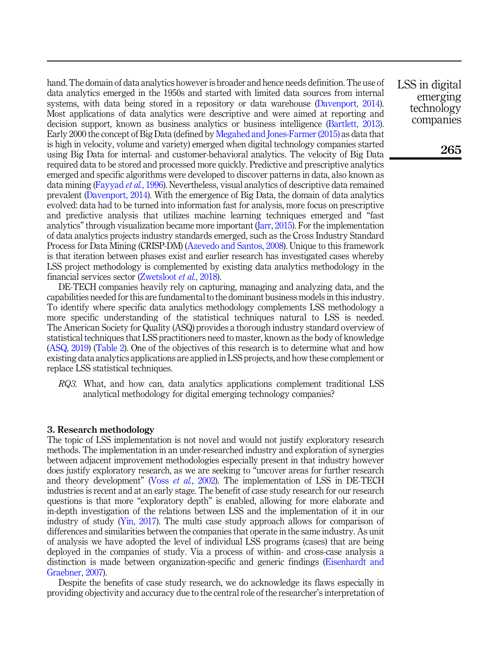hand. The domain of data analytics however is broader and hence needs definition. The use of data analytics emerged in the 1950s and started with limited data sources from internal systems, with data being stored in a repository or data warehouse ([Davenport, 2014\)](#page-21-8). Most applications of data analytics were descriptive and were aimed at reporting and decision support, known as business analytics or business intelligence ([Bartlett, 2013\)](#page-21-9). Early 2000 the concept of Big Data (defined by [Megahed and Jones-Farmer \(2015\)](#page-23-10) as data that is high in velocity, volume and variety) emerged when digital technology companies started using Big Data for internal- and customer-behavioral analytics. The velocity of Big Data required data to be stored and processed more quickly. Predictive and prescriptive analytics emerged and specific algorithms were developed to discover patterns in data, also known as data mining [\(Fayyad](#page-22-9) et al., 1996). Nevertheless, visual analytics of descriptive data remained prevalent ([Davenport, 2014](#page-21-8)). With the emergence of Big Data, the domain of data analytics evolved: data had to be turned into information fast for analysis, more focus on prescriptive and predictive analysis that utilizes machine learning techniques emerged and "fast analytics" through visualization became more important [\(Jarr, 2015\)](#page-22-10). For the implementation of data analytics projects industry standards emerged, such as the Cross Industry Standard Process for Data Mining (CRISP-DM) [\(Azevedo and Santos, 2008\)](#page-21-10). Unique to this framework is that iteration between phases exist and earlier research has investigated cases whereby LSS project methodology is complemented by existing data analytics methodology in the financial services sector ([Zwetsloot](#page-24-7) et al., 2018).

DE-TECH companies heavily rely on capturing, managing and analyzing data, and the capabilities needed for this are fundamental to the dominant business models in this industry. To identify where specific data analytics methodology complements LSS methodology a more specific understanding of the statistical techniques natural to LSS is needed. The American Society for Quality (ASQ) provides a thorough industry standard overview of statistical techniques that LSS practitioners need to master, known as the body of knowledge ([ASQ, 2019\)](#page-21-11) [\(Table 2\)](#page-7-0). One of the objectives of this research is to determine what and how existing data analytics applications are applied in LSS projects, and how these complement or replace LSS statistical techniques.

<span id="page-6-1"></span>RQ3. What, and how can, data analytics applications complement traditional LSS analytical methodology for digital emerging technology companies?

#### <span id="page-6-0"></span>3. Research methodology

The topic of LSS implementation is not novel and would not justify exploratory research methods. The implementation in an under-researched industry and exploration of synergies between adjacent improvement methodologies especially present in that industry however does justify exploratory research, as we are seeking to "uncover areas for further research and theory development" (Voss et al.[, 2002\)](#page-24-8). The implementation of LSS in DE-TECH industries is recent and at an early stage. The benefit of case study research for our research questions is that more "exploratory depth" is enabled, allowing for more elaborate and in-depth investigation of the relations between LSS and the implementation of it in our industry of study [\(Yin, 2017](#page-24-9)). The multi case study approach allows for comparison of differences and similarities between the companies that operate in the same industry. As unit of analysis we have adopted the level of individual LSS programs (cases) that are being deployed in the companies of study. Via a process of within- and cross-case analysis a distinction is made between organization-specific and generic findings ([Eisenhardt and](#page-22-11) [Graebner, 2007\)](#page-22-11).

Despite the benefits of case study research, we do acknowledge its flaws especially in providing objectivity and accuracy due to the central role of the researcher's interpretation of LSS in digital emerging technology companies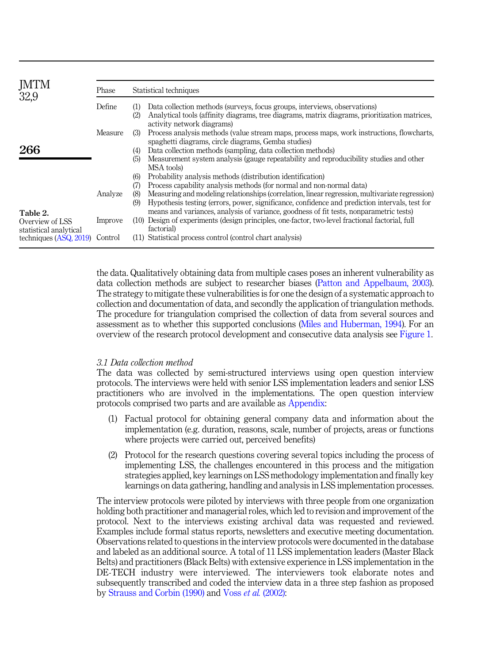<span id="page-7-0"></span>

| JMTM                                                  | Phase   |                   | Statistical techniques                                                                                                                                                                                                                                                                                    |
|-------------------------------------------------------|---------|-------------------|-----------------------------------------------------------------------------------------------------------------------------------------------------------------------------------------------------------------------------------------------------------------------------------------------------------|
|                                                       | Define  | (1)<br>(2)        | Data collection methods (surveys, focus groups, interviews, observations)<br>Analytical tools (affinity diagrams, tree diagrams, matrix diagrams, prioritization matrices,<br>activity network diagrams)                                                                                                  |
|                                                       | Measure | (3)               | Process analysis methods (value stream maps, process maps, work instructions, flowcharts,<br>spaghetti diagrams, circle diagrams, Gemba studies)                                                                                                                                                          |
| 266                                                   |         | (4)<br>(5)        | Data collection methods (sampling, data collection methods)<br>Measurement system analysis (gauge repeatability and reproducibility studies and other<br>MSA tools)                                                                                                                                       |
|                                                       | Analyze | (6)<br>(7)<br>(8) | Probability analysis methods (distribution identification)<br>Process capability analysis methods (for normal and non-normal data)<br>Measuring and modeling relationships (correlation, linear regression, multivariate regression)                                                                      |
| Table 2.<br>Overview of LSS<br>statistical analytical | Improve | (9)               | Hypothesis testing (errors, power, significance, confidence and prediction intervals, test for<br>means and variances, analysis of variance, goodness of fit tests, nonparametric tests)<br>(10) Design of experiments (design principles, one-factor, two-level fractional factorial, full<br>factorial) |
| techniques $(ASQ, 2019)$                              | Control |                   | (11) Statistical process control (control chart analysis)                                                                                                                                                                                                                                                 |

the data. Qualitatively obtaining data from multiple cases poses an inherent vulnerability as data collection methods are subject to researcher biases ([Patton and Appelbaum, 2003\)](#page-23-11). The strategy to mitigate these vulnerabilities is for one the design of a systematic approach to collection and documentation of data, and secondly the application of triangulation methods. The procedure for triangulation comprised the collection of data from several sources and assessment as to whether this supported conclusions ([Miles and Huberman, 1994](#page-23-12)). For an overview of the research protocol development and consecutive data analysis see [Figure 1](#page-8-0).

## 3.1 Data collection method

The data was collected by semi-structured interviews using open question interview protocols. The interviews were held with senior LSS implementation leaders and senior LSS practitioners who are involved in the implementations. The open question interview protocols comprised two parts and are available as [Appendix](#page-24-10):

- (1) Factual protocol for obtaining general company data and information about the implementation (e.g. duration, reasons, scale, number of projects, areas or functions where projects were carried out, perceived benefits)
- (2) Protocol for the research questions covering several topics including the process of implementing LSS, the challenges encountered in this process and the mitigation strategies applied, key learnings on LSS methodology implementation and finally key learnings on data gathering, handling and analysis in LSS implementation processes.

The interview protocols were piloted by interviews with three people from one organization holding both practitioner and managerial roles, which led to revision and improvement of the protocol. Next to the interviews existing archival data was requested and reviewed. Examples include formal status reports, newsletters and executive meeting documentation. Observations related to questions in the interview protocols were documented in the database and labeled as an additional source. A total of 11 LSS implementation leaders (Master Black Belts) and practitioners (Black Belts) with extensive experience in LSS implementation in the DE-TECH industry were interviewed. The interviewers took elaborate notes and subsequently transcribed and coded the interview data in a three step fashion as proposed by [Strauss and Corbin \(1990\)](#page-24-11) and Voss et al. [\(2002\)](#page-24-8):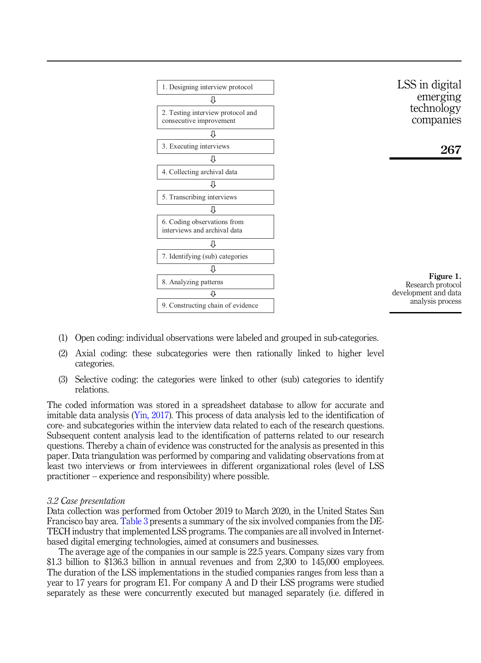<span id="page-8-0"></span>

- (1) Open coding: individual observations were labeled and grouped in sub-categories.
- (2) Axial coding: these subcategories were then rationally linked to higher level categories.
- (3) Selective coding: the categories were linked to other (sub) categories to identify relations.

The coded information was stored in a spreadsheet database to allow for accurate and imitable data analysis [\(Yin, 2017](#page-24-9)). This process of data analysis led to the identification of core- and subcategories within the interview data related to each of the research questions. Subsequent content analysis lead to the identification of patterns related to our research questions. Thereby a chain of evidence was constructed for the analysis as presented in this paper. Data triangulation was performed by comparing and validating observations from at least two interviews or from interviewees in different organizational roles (level of LSS practitioner – experience and responsibility) where possible.

#### 3.2 Case presentation

Data collection was performed from October 2019 to March 2020, in the United States San Francisco bay area. [Table 3](#page-9-0) presents a summary of the six involved companies from the DE-TECH industry that implemented LSS programs. The companies are all involved in Internetbased digital emerging technologies, aimed at consumers and businesses.

The average age of the companies in our sample is 22.5 years. Company sizes vary from \$1.3 billion to \$136.3 billion in annual revenues and from 2,300 to 145,000 employees. The duration of the LSS implementations in the studied companies ranges from less than a year to 17 years for program E1. For company A and D their LSS programs were studied separately as these were concurrently executed but managed separately (i.e. differed in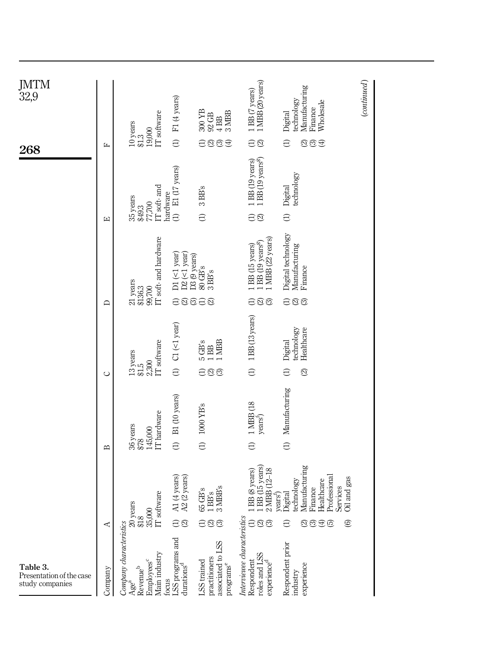<span id="page-9-0"></span>

| JMTM<br>32,9                                            |              |                                                                                                                         | F1 (4 years)                               | 300 YB<br>3MBB<br>92 GB<br>4BB                                                                                  | 1 MBB (20 years)<br>1 BB (7 years)                                                    | Manufacturing<br>technology<br>Wholesale<br>Finance<br>Digital                                                                                                      | $\left( continued\right)$ |
|---------------------------------------------------------|--------------|-------------------------------------------------------------------------------------------------------------------------|--------------------------------------------|-----------------------------------------------------------------------------------------------------------------|---------------------------------------------------------------------------------------|---------------------------------------------------------------------------------------------------------------------------------------------------------------------|---------------------------|
|                                                         |              | IT software<br>$10$ years<br>19,000<br>\$13                                                                             |                                            |                                                                                                                 |                                                                                       |                                                                                                                                                                     |                           |
| 268                                                     | 臼            |                                                                                                                         | $\ominus$                                  | $\ominus$<br>$\odot$<br>$\odot$                                                                                 | $\ominus$                                                                             | $\widehat{\mathfrak{A}}\widehat{\mathfrak{B}}$<br>Э                                                                                                                 |                           |
|                                                         | 囜            | IT soft- and<br>hardware<br>35 years<br>77,700<br>\$49.3                                                                | (1) E1 (17 years)                          | 3 BB's<br>$\ominus$                                                                                             | 1 BB (19 years <sup>8</sup> )<br>1 BB (19 years)<br>$\ominus\mathfrak{D}$             | technology<br>Digital<br>$\ominus$                                                                                                                                  |                           |
|                                                         |              |                                                                                                                         |                                            |                                                                                                                 |                                                                                       |                                                                                                                                                                     |                           |
|                                                         |              | IT soft- and hardware<br>21 years                                                                                       | $DI$ (<1 year)<br>$D2$ (<1 year)           | D3 (9 years)<br>80 GB's<br>$3$ BB's                                                                             | 1 MBB (22 years)<br>1 BB (19 years <sup>8</sup> )<br>1 BB (15 years)                  | Digital technology<br>Manufacturing<br>Finance                                                                                                                      |                           |
|                                                         | ≏            | \$136.3<br>99,700                                                                                                       |                                            | <b>ASSAS</b>                                                                                                    | $\ominus$ ම                                                                           | $\ominus$ හි                                                                                                                                                        |                           |
|                                                         |              | IT software<br>13 years<br>2,300                                                                                        | $Cl$ (<1 year)                             | $\begin{array}{c} 5 \, \text{GB's} \\ 1 \, \text{BB} \\ 1 \, \text{MBB} \end{array}$                            | 1 BB (13 years)                                                                       | technology<br>Healthcare<br>Digital                                                                                                                                 |                           |
|                                                         | $\cup$       | 515                                                                                                                     | $\ominus$                                  | $\ominus$ $\odot$ $\odot$                                                                                       | $\ominus$                                                                             | $\odot$<br>$\ominus$                                                                                                                                                |                           |
|                                                         | $\mathbf{r}$ | IT hardware<br>36 years<br>145,000<br>\$78                                                                              | B1 (10 years)<br>$\ominus$                 | 1000 YB's<br>$\ominus$                                                                                          | 1 MBB (18<br>years <sup>h</sup><br>$\ominus$                                          | Manufacturing<br>$\ominus$                                                                                                                                          |                           |
|                                                         | ⋖            | $\begin{array}{l} 20 \,\mathrm{years} \\ \text{\$18} \\ \text{35,000} \\ \text{IT software} \end{array}$                | A1 (4 years)<br>A2 (2 years)<br>$\ominus$  | $65\,\mathrm{GB's}\atop 1\,\mathrm{BBS}$ 3 MBB's<br>$\ominus$ $\odot$ $\odot$                                   | BB (8 years)<br>BB (15 years)<br>$2 \text{ MBB} (12 - 18)$<br>⊖ම®                     | Manufacturing<br>Finance<br>Healthcare<br>Professional<br>Services<br>Oil and gas<br>technology<br>$\frac{\text{years}}{\text{Digital}}$<br>$\ominus$<br>0.000<br>ම |                           |
| Table 3.<br>Presentation of the case<br>study companies | Company      | Company characteristics<br>Main industry<br>Employees <sup>c</sup><br>Revenue <sup>b</sup><br>focus<br>Age <sup>a</sup> | LSS programs and<br>durations <sup>d</sup> | associated to LSS<br>practitioners<br>LSS trained<br>$\ensuremath{\mathsf{programs}}^{\ensuremath{\mathsf{e}}}$ | Interviewee characteristics<br>roles and LSS<br>Respondent<br>experience <sup>c</sup> | Respondent prior<br>experience<br>industry                                                                                                                          |                           |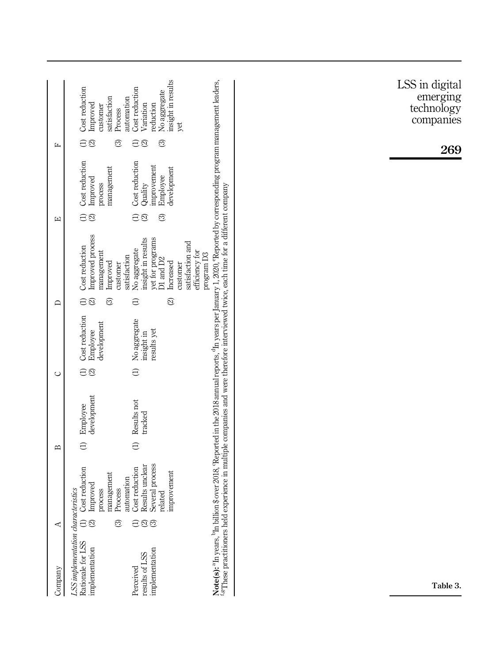|                                   |                                                                                                                                                                                                                                                                                                                                                                                                                                                                                                                                                                                                                  | LSS in digital                      |
|-----------------------------------|------------------------------------------------------------------------------------------------------------------------------------------------------------------------------------------------------------------------------------------------------------------------------------------------------------------------------------------------------------------------------------------------------------------------------------------------------------------------------------------------------------------------------------------------------------------------------------------------------------------|-------------------------------------|
|                                   | insight in results<br>Cost reduction<br>Cost reduction<br>No aggregate<br>satisfaction<br>automation<br>Improved<br>Variation<br>reduction<br>customer<br>Process<br>yet                                                                                                                                                                                                                                                                                                                                                                                                                                         | emerging<br>technology<br>companies |
| 臼                                 | $\ominus$<br>$\ominus$<br>ල<br>ි<br>ଛ                                                                                                                                                                                                                                                                                                                                                                                                                                                                                                                                                                            | 269                                 |
|                                   | Cost reduction<br>Cost reduction<br>improvement<br>management<br>development<br>Employee<br>Improved<br>process<br>Quality                                                                                                                                                                                                                                                                                                                                                                                                                                                                                       |                                     |
| $\boxed{\mathbf{L}}$              | $\ominus$<br>$\ominus$<br>ි                                                                                                                                                                                                                                                                                                                                                                                                                                                                                                                                                                                      |                                     |
|                                   | Note(s): <sup>a</sup> In years, <sup>b</sup> In billion \$ over 2018, 'Reported in the 2018 annual reports, <sup>d</sup> In years per January 1, 2020, 'Reported by corresponding program management leaders,<br><sup>4g</sup> These practitioners held experience in multiple companies and were therefore interviewed twice, each time for a different company<br>Improved process<br>insight in results<br>yet for programs<br>satisfaction and<br>Cost reduction<br>No aggregate<br>efficiency for<br>management<br>program D3<br>satisfaction<br>D1 and D2<br>Improved<br>Increased<br>customer<br>customer |                                     |
| ≏                                 | $\ominus$<br>$\odot$<br>$\ominus$<br>ල                                                                                                                                                                                                                                                                                                                                                                                                                                                                                                                                                                           |                                     |
|                                   | Cost reduction<br>No aggregate<br>development<br>results yet<br>Employee<br>insight in                                                                                                                                                                                                                                                                                                                                                                                                                                                                                                                           |                                     |
| $\cup$                            | $\ominus$<br>$\ominus$                                                                                                                                                                                                                                                                                                                                                                                                                                                                                                                                                                                           |                                     |
|                                   | development<br>Results not<br>Employee<br>tracked                                                                                                                                                                                                                                                                                                                                                                                                                                                                                                                                                                |                                     |
| $\mathbf{\underline{\mathsf{m}}}$ | $\ominus$<br>$\ominus$                                                                                                                                                                                                                                                                                                                                                                                                                                                                                                                                                                                           |                                     |
|                                   | Results unclear<br>Several process<br>Cost reduction<br>Cost reduction<br>related<br>improvement<br>management<br>automation<br>Improved<br>Process<br>process                                                                                                                                                                                                                                                                                                                                                                                                                                                   |                                     |
| ⋖                                 | $\widehat{\ominus}$<br>$\ominus$ $\odot$ $\odot$<br>ි                                                                                                                                                                                                                                                                                                                                                                                                                                                                                                                                                            |                                     |
| Company                           | LSS implementation characteristics<br>Rationale for LSS<br>implementation<br>implementation<br>results of LSS<br>Perceived                                                                                                                                                                                                                                                                                                                                                                                                                                                                                       | Table 3.                            |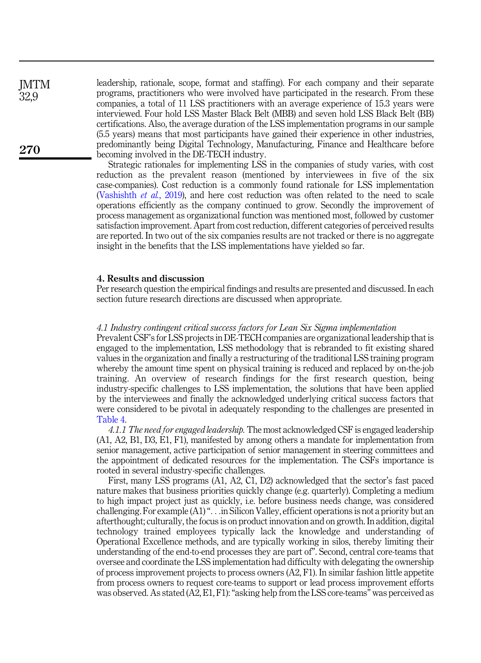leadership, rationale, scope, format and staffing). For each company and their separate programs, practitioners who were involved have participated in the research. From these companies, a total of 11 LSS practitioners with an average experience of 15.3 years were interviewed. Four hold LSS Master Black Belt (MBB) and seven hold LSS Black Belt (BB) certifications. Also, the average duration of the LSS implementation programs in our sample (5.5 years) means that most participants have gained their experience in other industries, predominantly being Digital Technology, Manufacturing, Finance and Healthcare before becoming involved in the DE-TECH industry.

Strategic rationales for implementing LSS in the companies of study varies, with cost reduction as the prevalent reason (mentioned by interviewees in five of the six case-companies). Cost reduction is a commonly found rationale for LSS implementation ([Vashishth](#page-24-12) *et al.*, 2019), and here cost reduction was often related to the need to scale operations efficiently as the company continued to grow. Secondly the improvement of process management as organizational function was mentioned most, followed by customer satisfaction improvement. Apart from cost reduction, different categories of perceived results are reported. In two out of the six companies results are not tracked or there is no aggregate insight in the benefits that the LSS implementations have yielded so far.

## <span id="page-11-0"></span>4. Results and discussion

Per research question the empirical findings and results are presented and discussed. In each section future research directions are discussed when appropriate.

#### 4.1 Industry contingent critical success factors for Lean Six Sigma implementation

Prevalent CSF's for LSS projects in DE-TECH companies are organizational leadership that is engaged to the implementation, LSS methodology that is rebranded to fit existing shared values in the organization and finally a restructuring of the traditional LSS training program whereby the amount time spent on physical training is reduced and replaced by on-the-job training. An overview of research findings for the first research question, being industry-specific challenges to LSS implementation, the solutions that have been applied by the interviewees and finally the acknowledged underlying critical success factors that were considered to be pivotal in adequately responding to the challenges are presented in [Table 4](#page-12-0).

4.1.1 The need for engaged leadership. The most acknowledged CSF is engaged leadership (A1, A2, B1, D3, E1, F1), manifested by among others a mandate for implementation from senior management, active participation of senior management in steering committees and the appointment of dedicated resources for the implementation. The CSFs importance is rooted in several industry-specific challenges.

First, many LSS programs (A1, A2, C1, D2) acknowledged that the sector's fast paced nature makes that business priorities quickly change (e.g. quarterly). Completing a medium to high impact project just as quickly, i.e. before business needs change, was considered challenging. For example (A1)"...in Silicon Valley, efficient operations is not a priority but an afterthought; culturally, the focus is on product innovation and on growth. In addition, digital technology trained employees typically lack the knowledge and understanding of Operational Excellence methods, and are typically working in silos, thereby limiting their understanding of the end-to-end processes they are part of". Second, central core-teams that oversee and coordinate the LSS implementation had difficulty with delegating the ownership of process improvement projects to process owners (A2, F1). In similar fashion little appetite from process owners to request core-teams to support or lead process improvement efforts was observed. As stated (A2, E1, F1): "asking help from the LSS core-teams" was perceived as

**IMTM** 32,9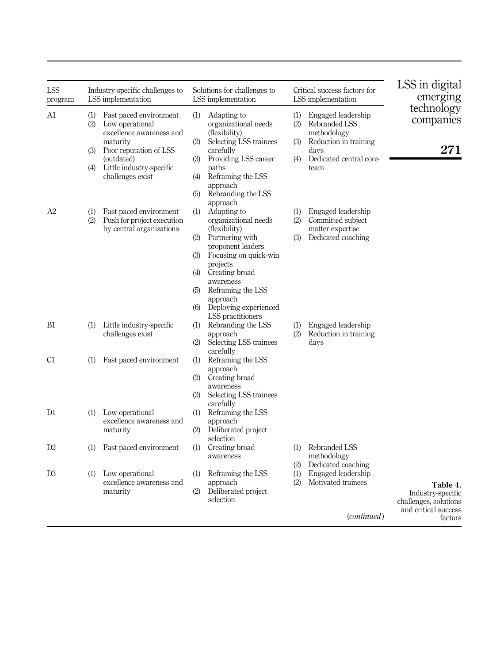<span id="page-12-0"></span>

| LSS<br>program | Industry-specific challenges to<br>LSS implementation |                                                                                                                                                                           |                                        | Solutions for challenges to<br>LSS implementation                                                                                                                                                                                      |                          | Critical success factors for<br>LSS implementation                                                                     | LSS in digital<br>emerging                                                                |
|----------------|-------------------------------------------------------|---------------------------------------------------------------------------------------------------------------------------------------------------------------------------|----------------------------------------|----------------------------------------------------------------------------------------------------------------------------------------------------------------------------------------------------------------------------------------|--------------------------|------------------------------------------------------------------------------------------------------------------------|-------------------------------------------------------------------------------------------|
| A1             | (1)<br>(2)<br>(3)<br>(4)                              | Fast paced environment<br>Low operational<br>excellence awareness and<br>maturity<br>Poor reputation of LSS<br>(outdated)<br>Little industry-specific<br>challenges exist | (1)<br>(2)<br>(3)<br>(4)<br>(5)        | Adapting to<br>organizational needs<br>(flexibility)<br>Selecting LSS trainees<br>carefully<br>Providing LSS career<br>paths<br>Reframing the LSS<br>approach<br>Rebranding the LSS                                                    | (1)<br>(2)<br>(3)<br>(4) | Engaged leadership<br>Rebranded LSS<br>methodology<br>Reduction in training<br>davs<br>Dedicated central core-<br>team | technology<br>companies<br>271                                                            |
| A2             | (1)<br>(2)                                            | Fast paced environment<br>Push for project execution<br>by central organizations                                                                                          | (1)<br>(2)<br>(3)<br>(4)<br>(5)<br>(6) | approach<br>Adapting to<br>organizational needs<br>(flexibility)<br>Partnering with<br>proponent leaders<br>Focusing on quick-win<br>projects<br>Creating broad<br>awareness<br>Reframing the LSS<br>approach<br>Deploying experienced | (1)<br>(2)<br>(3)        | Engaged leadership<br>Committed subject<br>matter expertise<br>Dedicated coaching                                      |                                                                                           |
| B1             | (1)                                                   | Little industry-specific<br>challenges exist                                                                                                                              | (2)                                    | LSS practitioners<br>(1) Rebranding the LSS<br>approach<br>Selecting LSS trainees<br>carefully                                                                                                                                         | (1)<br>(2)               | Engaged leadership<br>Reduction in training<br>days                                                                    |                                                                                           |
| C1<br>D1       | (1)<br>(1)                                            | Fast paced environment<br>Low operational<br>excellence awareness and<br>maturity                                                                                         | (1)<br>(2)<br>(3)<br>(1)<br>(2)        | Reframing the LSS<br>approach<br>Creating broad<br>awareness<br>Selecting LSS trainees<br>carefully<br>Reframing the LSS<br>approach<br>Deliberated project                                                                            |                          |                                                                                                                        |                                                                                           |
| D2             | (1)                                                   | Fast paced environment                                                                                                                                                    | (1)                                    | selection<br>Creating broad<br>awareness                                                                                                                                                                                               | (1)                      | Rebranded LSS<br>methodology                                                                                           |                                                                                           |
| D3             | (1)                                                   | Low operational<br>excellence awareness and<br>maturity                                                                                                                   | (1)<br>(2)                             | Reframing the LSS<br>approach<br>Deliberated project<br>selection                                                                                                                                                                      | (2)<br>(1)<br>(2)        | Dedicated coaching<br>Engaged leadership<br>Motivated trainees<br>( <i>continued</i> )                                 | Table 4.<br>Industry-specific<br>challenges, solutions<br>and critical success<br>factors |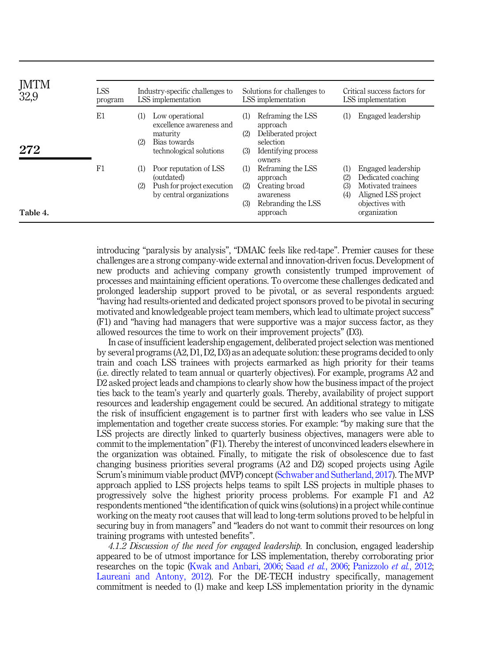| JMTM<br>32,9 | <b>LSS</b><br>program | Industry-specific challenges to<br>LSS implementation                                                            | Critical success factors for<br>Solutions for challenges to<br>LSS implementation<br>LSS implementation             |                                                                                                                                               |  |  |  |
|--------------|-----------------------|------------------------------------------------------------------------------------------------------------------|---------------------------------------------------------------------------------------------------------------------|-----------------------------------------------------------------------------------------------------------------------------------------------|--|--|--|
| 272          | E1                    | Low operational<br>(1)<br>excellence awareness and<br>maturity<br>(2)<br>Bias towards<br>technological solutions | Reframing the LSS<br>approach<br>Deliberated project<br>(2)<br>selection<br>Identifying process<br>(3)<br>owners    | Engaged leadership                                                                                                                            |  |  |  |
| Table 4.     | F1                    | (1)<br>Poor reputation of LSS<br>(outdated)<br>Push for project execution<br>(2)<br>by central organizations     | Reframing the LSS<br>(1)<br>approach<br>Creating broad<br>(2)<br>awareness<br>Rebranding the LSS<br>(3)<br>approach | Engaged leadership<br>Dedicated coaching<br>(2)<br>Motivated trainees<br>(3)<br>Aligned LSS project<br>(4)<br>objectives with<br>organization |  |  |  |

introducing "paralysis by analysis", "DMAIC feels like red-tape". Premier causes for these challenges are a strong company-wide external and innovation-driven focus. Development of new products and achieving company growth consistently trumped improvement of processes and maintaining efficient operations. To overcome these challenges dedicated and prolonged leadership support proved to be pivotal, or as several respondents argued: "having had results-oriented and dedicated project sponsors proved to be pivotal in securing motivated and knowledgeable project team members, which lead to ultimate project success" (F1) and "having had managers that were supportive was a major success factor, as they allowed resources the time to work on their improvement projects" (D3).

In case of insufficient leadership engagement, deliberated project selection was mentioned by several programs (A2, D1, D2, D3) as an adequate solution: these programs decided to only train and coach LSS trainees with projects earmarked as high priority for their teams (i.e. directly related to team annual or quarterly objectives). For example, programs A2 and D2 asked project leads and champions to clearly show how the business impact of the project ties back to the team's yearly and quarterly goals. Thereby, availability of project support resources and leadership engagement could be secured. An additional strategy to mitigate the risk of insufficient engagement is to partner first with leaders who see value in LSS implementation and together create success stories. For example: "by making sure that the LSS projects are directly linked to quarterly business objectives, managers were able to commit to the implementation"(F1). Thereby the interest of unconvinced leaders elsewhere in the organization was obtained. Finally, to mitigate the risk of obsolescence due to fast changing business priorities several programs (A2 and D2) scoped projects using Agile Scrum's minimum viable product (MVP) concept ([Schwaber and Sutherland, 2017\)](#page-23-13). The MVP approach applied to LSS projects helps teams to spilt LSS projects in multiple phases to progressively solve the highest priority process problems. For example F1 and A2 respondents mentioned "the identification of quick wins (solutions) in a project while continue working on the meaty root causes that will lead to long-term solutions proved to be helpful in securing buy in from managers" and "leaders do not want to commit their resources on long training programs with untested benefits".

4.1.2 Discussion of the need for engaged leadership. In conclusion, engaged leadership appeared to be of utmost importance for LSS implementation, thereby corroborating prior researches on the topic ([Kwak and Anbari, 2006](#page-22-12); Saad et al.[, 2006;](#page-23-14) [Panizzolo](#page-23-15) et al., 2012; [Laureani and Antony, 2012](#page-22-13)). For the DE-TECH industry specifically, management commitment is needed to (1) make and keep LSS implementation priority in the dynamic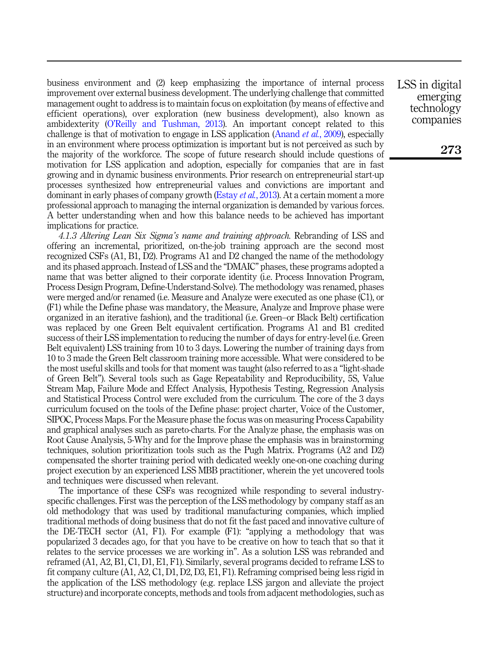business environment and (2) keep emphasizing the importance of internal process improvement over external business development. The underlying challenge that committed management ought to address is to maintain focus on exploitation (by means of effective and efficient operations), over exploration (new business development), also known as ambidexterity (O'[Reilly and Tushman, 2013\)](#page-23-16). An important concept related to this challenge is that of motivation to engage in LSS application ([Anand](#page-21-12) *et al.*, 2009), especially in an environment where process optimization is important but is not perceived as such by the majority of the workforce. The scope of future research should include questions of motivation for LSS application and adoption, especially for companies that are in fast growing and in dynamic business environments. Prior research on entrepreneurial start-up processes synthesized how entrepreneurial values and convictions are important and dominant in early phases of company growth ([Estay](#page-22-14) *et al.*, 2013). At a certain moment a more professional approach to managing the internal organization is demanded by various forces. A better understanding when and how this balance needs to be achieved has important implications for practice.

4.1.3 Altering Lean Six Sigma's name and training approach. Rebranding of LSS and offering an incremental, prioritized, on-the-job training approach are the second most recognized CSFs (A1, B1, D2). Programs A1 and D2 changed the name of the methodology and its phased approach. Instead of LSS and the "DMAIC" phases, these programs adopted a name that was better aligned to their corporate identity (i.e. Process Innovation Program, Process Design Program, Define-Understand-Solve). The methodology was renamed, phases were merged and/or renamed (i.e. Measure and Analyze were executed as one phase (C1), or (F1) while the Define phase was mandatory, the Measure, Analyze and Improve phase were organized in an iterative fashion), and the traditional (i.e. Green–or Black Belt) certification was replaced by one Green Belt equivalent certification. Programs A1 and B1 credited success of their LSS implementation to reducing the number of days for entry-level (i.e. Green Belt equivalent) LSS training from 10 to 3 days. Lowering the number of training days from 10 to 3 made the Green Belt classroom training more accessible. What were considered to be the most useful skills and tools for that moment was taught (also referred to as a "light-shade of Green Belt"). Several tools such as Gage Repeatability and Reproducibility, 5S, Value Stream Map, Failure Mode and Effect Analysis, Hypothesis Testing, Regression Analysis and Statistical Process Control were excluded from the curriculum. The core of the 3 days curriculum focused on the tools of the Define phase: project charter, Voice of the Customer, SIPOC, Process Maps. For the Measure phase the focus was on measuring Process Capability and graphical analyses such as pareto-charts. For the Analyze phase, the emphasis was on Root Cause Analysis, 5-Why and for the Improve phase the emphasis was in brainstorming techniques, solution prioritization tools such as the Pugh Matrix. Programs (A2 and D2) compensated the shorter training period with dedicated weekly one-on-one coaching during project execution by an experienced LSS MBB practitioner, wherein the yet uncovered tools and techniques were discussed when relevant.

The importance of these CSFs was recognized while responding to several industryspecific challenges. First was the perception of the LSS methodology by company staff as an old methodology that was used by traditional manufacturing companies, which implied traditional methods of doing business that do not fit the fast paced and innovative culture of the DE-TECH sector (A1, F1). For example (F1): "applying a methodology that was popularized 3 decades ago, for that you have to be creative on how to teach that so that it relates to the service processes we are working in". As a solution LSS was rebranded and reframed (A1, A2, B1, C1, D1, E1, F1). Similarly, several programs decided to reframe LSS to fit company culture (A1, A2, C1, D1, D2, D3, E1, F1). Reframing comprised being less rigid in the application of the LSS methodology (e.g. replace LSS jargon and alleviate the project structure) and incorporate concepts, methods and tools from adjacent methodologies, such as LSS in digital emerging technology companies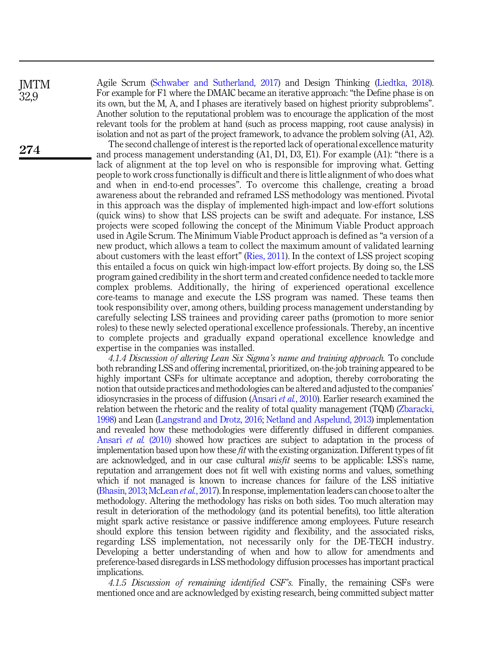**IMTM** 32,9

274

Agile Scrum ([Schwaber and Sutherland, 2017](#page-23-13)) and Design Thinking [\(Liedtka, 2018\)](#page-22-15). For example for F1 where the DMAIC became an iterative approach: "the Define phase is on its own, but the M, A, and I phases are iteratively based on highest priority subproblems". Another solution to the reputational problem was to encourage the application of the most relevant tools for the problem at hand (such as process mapping, root cause analysis) in isolation and not as part of the project framework, to advance the problem solving (A1, A2).

The second challenge of interest is the reported lack of operational excellence maturity and process management understanding (A1, D1, D3, E1). For example (A1): "there is a lack of alignment at the top level on who is responsible for improving what. Getting people to work cross functionally is difficult and there is little alignment of who does what and when in end-to-end processes". To overcome this challenge, creating a broad awareness about the rebranded and reframed LSS methodology was mentioned. Pivotal in this approach was the display of implemented high-impact and low-effort solutions (quick wins) to show that LSS projects can be swift and adequate. For instance, LSS projects were scoped following the concept of the Minimum Viable Product approach used in Agile Scrum. The Minimum Viable Product approach is defined as "a version of a new product, which allows a team to collect the maximum amount of validated learning about customers with the least effort" ([Ries, 2011\)](#page-23-17). In the context of LSS project scoping this entailed a focus on quick win high-impact low-effort projects. By doing so, the LSS program gained credibility in the short term and created confidence needed to tackle more complex problems. Additionally, the hiring of experienced operational excellence core-teams to manage and execute the LSS program was named. These teams then took responsibility over, among others, building process management understanding by carefully selecting LSS trainees and providing career paths (promotion to more senior roles) to these newly selected operational excellence professionals. Thereby, an incentive to complete projects and gradually expand operational excellence knowledge and expertise in the companies was installed.

4.1.4 Discussion of altering Lean Six Sigma's name and training approach. To conclude both rebranding LSS and offering incremental, prioritized, on-the-job training appeared to be highly important CSFs for ultimate acceptance and adoption, thereby corroborating the notion that outside practices and methodologies can be altered and adjusted to the companies' idiosyncrasies in the process of diffusion ([Ansari](#page-21-13) et al., 2010). Earlier research examined the relation between the rhetoric and the reality of total quality management (TQM) [\(Zbaracki,](#page-24-13) [1998\)](#page-24-13) and Lean [\(Langstrand and Drotz, 2016;](#page-22-16) [Netland and Aspelund, 2013](#page-23-18)) implementation and revealed how these methodologies were differently diffused in different companies. [Ansari](#page-21-13) et al. (2010) showed how practices are subject to adaptation in the process of implementation based upon how these *fit* with the existing organization. Different types of fit are acknowledged, and in our case cultural misfit seems to be applicable: LSS's name, reputation and arrangement does not fit well with existing norms and values, something which if not managed is known to increase chances for failure of the LSS initiative ([Bhasin, 2013](#page-21-14); [McLean](#page-23-19) et al., 2017). In response, implementation leaders can choose to alter the methodology. Altering the methodology has risks on both sides. Too much alteration may result in deterioration of the methodology (and its potential benefits), too little alteration might spark active resistance or passive indifference among employees. Future research should explore this tension between rigidity and flexibility, and the associated risks, regarding LSS implementation, not necessarily only for the DE-TECH industry. Developing a better understanding of when and how to allow for amendments and preference-based disregards in LSS methodology diffusion processes has important practical implications.

4.1.5 Discussion of remaining identified CSF's. Finally, the remaining CSFs were mentioned once and are acknowledged by existing research, being committed subject matter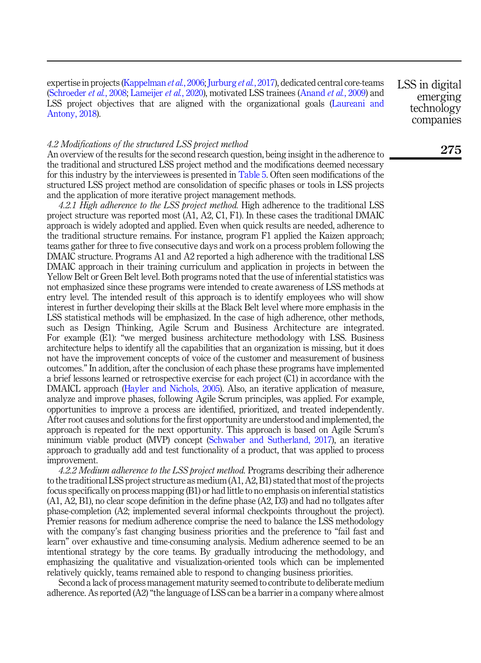expertise in projects ([Kappelman](#page-22-17) *et al.*, 2006; [Jurburg](#page-22-18) *et al.*, 2017), dedicated central core-teams ([Schroeder](#page-23-4) et al., 2008; [Lameijer](#page-22-19) et al., 2020), motivated LSS trainees ([Anand](#page-21-12) et al., 2009) and LSS project objectives that are aligned with the organizational goals ([Laureani and](#page-22-20) [Antony, 2018](#page-22-20)).

LSS in digital emerging technology companies

## 4.2 Modifications of the structured LSS project method

An overview of the results for the second research question, being insight in the adherence to the traditional and structured LSS project method and the modifications deemed necessary for this industry by the interviewees is presented in [Table 5](#page-17-0). Often seen modifications of the structured LSS project method are consolidation of specific phases or tools in LSS projects and the application of more iterative project management methods.

4.2.1 High adherence to the LSS project method. High adherence to the traditional LSS project structure was reported most (A1, A2, C1, F1). In these cases the traditional DMAIC approach is widely adopted and applied. Even when quick results are needed, adherence to the traditional structure remains. For instance, program F1 applied the Kaizen approach; teams gather for three to five consecutive days and work on a process problem following the DMAIC structure. Programs A1 and A2 reported a high adherence with the traditional LSS DMAIC approach in their training curriculum and application in projects in between the Yellow Belt or Green Belt level. Both programs noted that the use of inferential statistics was not emphasized since these programs were intended to create awareness of LSS methods at entry level. The intended result of this approach is to identify employees who will show interest in further developing their skills at the Black Belt level where more emphasis in the LSS statistical methods will be emphasized. In the case of high adherence, other methods, such as Design Thinking, Agile Scrum and Business Architecture are integrated. For example (E1): "we merged business architecture methodology with LSS. Business architecture helps to identify all the capabilities that an organization is missing, but it does not have the improvement concepts of voice of the customer and measurement of business outcomes." In addition, after the conclusion of each phase these programs have implemented a brief lessons learned or retrospective exercise for each project (C1) in accordance with the DMAICL approach ([Hayler and Nichols, 2005\)](#page-22-8). Also, an iterative application of measure, analyze and improve phases, following Agile Scrum principles, was applied. For example, opportunities to improve a process are identified, prioritized, and treated independently. After root causes and solutions for the first opportunity are understood and implemented, the approach is repeated for the next opportunity. This approach is based on Agile Scrum's minimum viable product (MVP) concept [\(Schwaber and Sutherland, 2017](#page-23-13)), an iterative approach to gradually add and test functionality of a product, that was applied to process improvement.

4.2.2 Medium adherence to the LSS project method. Programs describing their adherence to the traditional LSS project structure as medium (A1, A2, B1) stated that most of the projects focus specifically on process mapping (B1) or had little to no emphasis on inferential statistics (A1, A2, B1), no clear scope definition in the define phase (A2, D3) and had no tollgates after phase-completion (A2; implemented several informal checkpoints throughout the project). Premier reasons for medium adherence comprise the need to balance the LSS methodology with the company's fast changing business priorities and the preference to "fail fast and learn" over exhaustive and time-consuming analysis. Medium adherence seemed to be an intentional strategy by the core teams. By gradually introducing the methodology, and emphasizing the qualitative and visualization-oriented tools which can be implemented relatively quickly, teams remained able to respond to changing business priorities.

Second a lack of process management maturity seemed to contribute to deliberate medium adherence. As reported  $(A2)$  "the language of LSS can be a barrier in a company where almost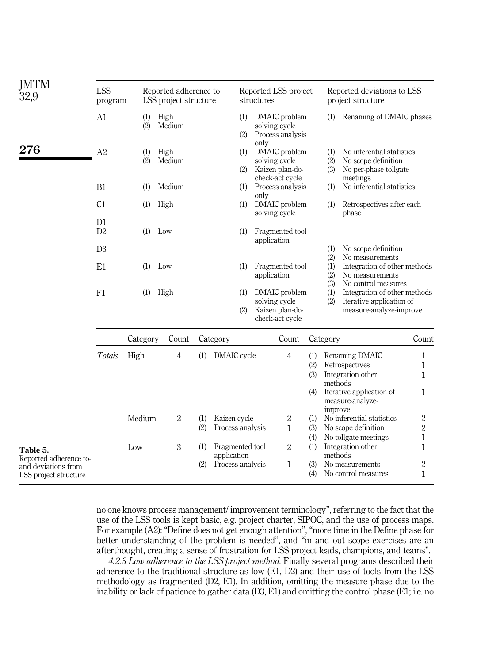<span id="page-17-0"></span>

| JMTM<br>32,9                                 | <b>LSS</b><br>program |            | Reported adherence to<br>LSS project structure |            |                                  | Reported LSS project<br>structures |                                                                      |                          |                                                                                                | Reported deviations to LSS<br>project structure                                     |                                  |  |
|----------------------------------------------|-----------------------|------------|------------------------------------------------|------------|----------------------------------|------------------------------------|----------------------------------------------------------------------|--------------------------|------------------------------------------------------------------------------------------------|-------------------------------------------------------------------------------------|----------------------------------|--|
|                                              | A1                    | (1)<br>(2) | High<br>Medium                                 |            | (1)<br>(2)                       |                                    | DMAIC problem<br>solving cycle<br>Process analysis                   |                          | (1)                                                                                            | Renaming of DMAIC phases                                                            |                                  |  |
| 276                                          | A2                    | (1)<br>(2) | High<br>Medium                                 |            |                                  | only<br>(1)<br>(2)                 | DMAIC problem<br>solving cycle<br>Kaizen plan-do-                    |                          | No inferential statistics<br>(1)<br>(2)<br>No scope definition<br>No per-phase tollgate<br>(3) |                                                                                     |                                  |  |
|                                              | B1                    | (1)        | Medium                                         |            | (1)                              | only                               | check-act cycle<br>Process analysis                                  |                          | (1)                                                                                            | meetings<br>No inferential statistics                                               |                                  |  |
|                                              | C1<br>D1              | (1)        | High                                           |            | (1)                              |                                    | DMAIC problem<br>solving cycle                                       |                          | (1)                                                                                            | Retrospectives after each<br>phase                                                  |                                  |  |
|                                              | D2                    | (1)        | Low                                            |            | (1)                              |                                    | Fragmented tool<br>application                                       |                          |                                                                                                |                                                                                     |                                  |  |
|                                              | D <sub>3</sub>        |            |                                                |            |                                  |                                    |                                                                      |                          | (1)<br>(2)                                                                                     | No scope definition<br>No measurements                                              |                                  |  |
|                                              | E1                    | (1)        | Low                                            |            | (1)                              | Fragmented tool<br>application     |                                                                      |                          | Integration of other methods<br>(1)<br>(2)<br>No measurements<br>(3)<br>No control measures    |                                                                                     |                                  |  |
|                                              | F1                    | (1)        | High                                           |            | (1)<br>(2)                       |                                    | DMAIC problem<br>solving cycle<br>Kaizen plan-do-<br>check-act cycle |                          | (1)<br>(2)                                                                                     | Integration of other methods<br>Iterative application of<br>measure-analyze-improve |                                  |  |
|                                              |                       | Category   | Count                                          |            | Category                         |                                    | Count                                                                |                          | Category                                                                                       |                                                                                     | Count                            |  |
|                                              | Totals                | High       | 4                                              | (1)        | DMAIC cycle                      |                                    | 4                                                                    | (1)<br>(2)<br>(3)<br>(4) | methods                                                                                        | Renaming DMAIC<br>Retrospectives<br>Integration other<br>Iterative application of   | $\mathbf{1}$<br>1<br>1<br>1      |  |
|                                              |                       |            |                                                |            |                                  |                                    |                                                                      |                          | improve                                                                                        | measure-analyze-                                                                    |                                  |  |
|                                              |                       | Medium     | $\overline{2}$                                 | (1)<br>(2) | Kaizen cycle<br>Process analysis |                                    | $\boldsymbol{2}$<br>1                                                | (1)<br>(3)<br>(4)        |                                                                                                | No inferential statistics<br>No scope definition<br>No tollgate meetings            | $\,2$<br>2<br>1                  |  |
| Table 5.<br>Reported adherence to-           |                       | Low        | 3                                              | (1)        | Fragmented tool<br>application   |                                    | $\overline{2}$                                                       | (1)                      | methods                                                                                        | Integration other                                                                   | 1                                |  |
| and deviations from<br>LSS project structure |                       |            |                                                | (2)        | Process analysis                 |                                    | $\mathbf{1}$                                                         | (3)<br>(4)               |                                                                                                | No measurements<br>No control measures                                              | $\boldsymbol{2}$<br>$\mathbf{1}$ |  |

no one knows process management/ improvement terminology", referring to the fact that the use of the LSS tools is kept basic, e.g. project charter, SIPOC, and the use of process maps. For example (A2): "Define does not get enough attention", "more time in the Define phase for better understanding of the problem is needed", and "in and out scope exercises are an afterthought, creating a sense of frustration for LSS project leads, champions, and teams".

4.2.3 Low adherence to the LSS project method. Finally several programs described their adherence to the traditional structure as low (E1, D2) and their use of tools from the LSS methodology as fragmented (D2, E1). In addition, omitting the measure phase due to the inability or lack of patience to gather data  $(D3, E1)$  and omitting the control phase  $(E1; i.e.$  no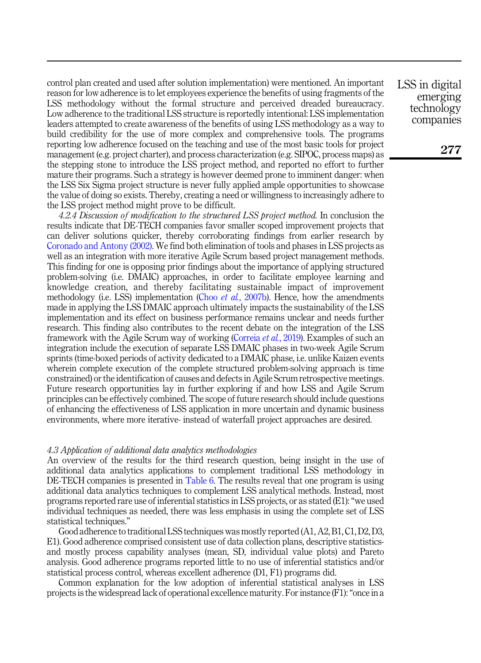control plan created and used after solution implementation) were mentioned. An important reason for low adherence is to let employees experience the benefits of using fragments of the LSS methodology without the formal structure and perceived dreaded bureaucracy. Low adherence to the traditional LSS structure is reportedly intentional: LSS implementation leaders attempted to create awareness of the benefits of using LSS methodology as a way to build credibility for the use of more complex and comprehensive tools. The programs reporting low adherence focused on the teaching and use of the most basic tools for project management (e.g. project charter), and process characterization (e.g. SIPOC, process maps) as the stepping stone to introduce the LSS project method, and reported no effort to further mature their programs. Such a strategy is however deemed prone to imminent danger: when the LSS Six Sigma project structure is never fully applied ample opportunities to showcase the value of doing so exists. Thereby, creating a need or willingness to increasingly adhere to the LSS project method might prove to be difficult.

4.2.4 Discussion of modification to the structured LSS project method. In conclusion the results indicate that DE-TECH companies favor smaller scoped improvement projects that can deliver solutions quicker, thereby corroborating findings from earlier research by [Coronado and Antony \(2002\).](#page-21-15) We find both elimination of tools and phases in LSS projects as well as an integration with more iterative Agile Scrum based project management methods. This finding for one is opposing prior findings about the importance of applying structured problem-solving (i.e. DMAIC) approaches, in order to facilitate employee learning and knowledge creation, and thereby facilitating sustainable impact of improvement methodology (i.e. LSS) implementation (Choo *et al.*[, 2007b\)](#page-21-16). Hence, how the amendments made in applying the LSS DMAIC approach ultimately impacts the sustainability of the LSS implementation and its effect on business performance remains unclear and needs further research. This finding also contributes to the recent debate on the integration of the LSS framework with the Agile Scrum way of working ([Correia](#page-21-17) et al., 2019). Examples of such an integration include the execution of separate LSS DMAIC phases in two-week Agile Scrum sprints (time-boxed periods of activity dedicated to a DMAIC phase, i.e. unlike Kaizen events wherein complete execution of the complete structured problem-solving approach is time constrained) or the identification of causes and defects in Agile Scrum retrospective meetings. Future research opportunities lay in further exploring if and how LSS and Agile Scrum principles can be effectively combined. The scope of future research should include questions of enhancing the effectiveness of LSS application in more uncertain and dynamic business environments, where more iterative- instead of waterfall project approaches are desired.

#### 4.3 Application of additional data analytics methodologies

An overview of the results for the third research question, being insight in the use of additional data analytics applications to complement traditional LSS methodology in DE-TECH companies is presented in [Table 6](#page-19-0). The results reveal that one program is using additional data analytics techniques to complement LSS analytical methods. Instead, most programs reported rare use of inferential statistics in LSS projects, or as stated (E1):"we used individual techniques as needed, there was less emphasis in using the complete set of LSS statistical techniques."

Good adherence to traditional LSS techniques was mostly reported (A1, A2, B1, C1, D2, D3, E1). Good adherence comprised consistent use of data collection plans, descriptive statisticsand mostly process capability analyses (mean, SD, individual value plots) and Pareto analysis. Good adherence programs reported little to no use of inferential statistics and/or statistical process control, whereas excellent adherence (D1, F1) programs did.

Common explanation for the low adoption of inferential statistical analyses in LSS projects is the widespread lack of operational excellence maturity. For instance (F1):"once in a LSS in digital emerging technology companies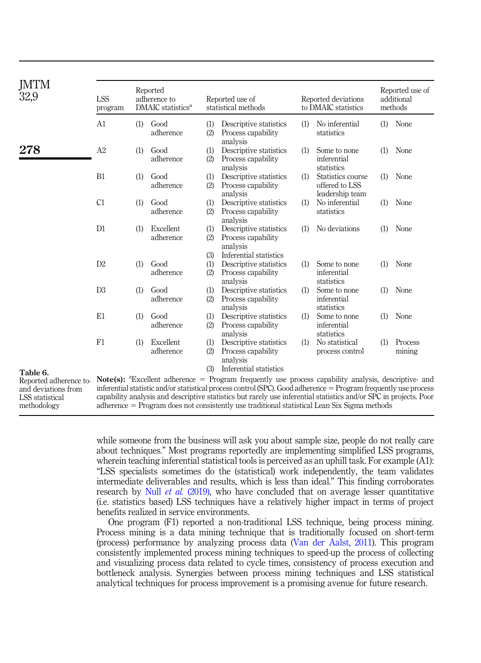<span id="page-19-0"></span>

| JMTM<br>32,9                                                                                | <b>LSS</b><br>program |     | Reported<br>adherence to<br>DMAIC statistics <sup>a</sup> | Reported use of<br>statistical methods |                                                                                                                                                                                                                                                                                                                                                                                                                                                                                        |     | Reported deviations<br>to DMAIC statistics             | Reported use of<br>additional<br>methods |                   |  |
|---------------------------------------------------------------------------------------------|-----------------------|-----|-----------------------------------------------------------|----------------------------------------|----------------------------------------------------------------------------------------------------------------------------------------------------------------------------------------------------------------------------------------------------------------------------------------------------------------------------------------------------------------------------------------------------------------------------------------------------------------------------------------|-----|--------------------------------------------------------|------------------------------------------|-------------------|--|
|                                                                                             | A1                    | (1) | Good<br>adherence                                         | (1)<br>(2)                             | Descriptive statistics<br>Process capability<br>analysis                                                                                                                                                                                                                                                                                                                                                                                                                               | (1) | No inferential<br>statistics                           | (1)                                      | None              |  |
| 278                                                                                         | A2                    | (1) | Good<br>adherence                                         | (1)<br>(2)                             | Descriptive statistics<br>Process capability<br>analysis                                                                                                                                                                                                                                                                                                                                                                                                                               | (1) | Some to none<br>inferential<br>statistics              | (1)                                      | None              |  |
|                                                                                             | B1                    | (1) | Good<br>adherence                                         | (1)<br>(2)                             | Descriptive statistics<br>Process capability<br>analysis                                                                                                                                                                                                                                                                                                                                                                                                                               | (1) | Statistics course<br>offered to LSS<br>leadership team | (1)                                      | None              |  |
|                                                                                             | C1                    | (1) | Good<br>adherence                                         | (1)<br>(2)                             | Descriptive statistics<br>Process capability<br>analysis                                                                                                                                                                                                                                                                                                                                                                                                                               | (1) | No inferential<br>statistics                           | (1)                                      | None              |  |
|                                                                                             | D1                    | (1) | Excellent<br>adherence                                    | (1)<br>(2)                             | Descriptive statistics<br>Process capability<br>analysis                                                                                                                                                                                                                                                                                                                                                                                                                               | (1) | No deviations                                          | (1)                                      | None              |  |
|                                                                                             | D2                    | (1) | Good<br>adherence                                         | (3)<br>(1)<br>(2)                      | Inferential statistics<br>Descriptive statistics<br>Process capability<br>analysis                                                                                                                                                                                                                                                                                                                                                                                                     | (1) | Some to none<br>inferential<br>statistics              | (1)                                      | None              |  |
|                                                                                             | D <sub>3</sub>        | (1) | Good<br>adherence                                         | (1)<br>(2)                             | Descriptive statistics<br>Process capability<br>analysis                                                                                                                                                                                                                                                                                                                                                                                                                               | (1) | Some to none<br>inferential<br>statistics              | (1)                                      | None              |  |
|                                                                                             | E1                    | (1) | Good<br>adherence                                         | (1)<br>(2)                             | Descriptive statistics<br>Process capability<br>analysis                                                                                                                                                                                                                                                                                                                                                                                                                               | (1) | Some to none<br>inferential<br>statistics              | (1)                                      | None              |  |
|                                                                                             | F1                    | (1) | Excellent<br>adherence                                    | (1)<br>(2)                             | Descriptive statistics<br>Process capability<br>analysis                                                                                                                                                                                                                                                                                                                                                                                                                               | (1) | No statistical<br>process control                      | (1)                                      | Process<br>mining |  |
| Table 6.<br>Reported adherence to-<br>and deviations from<br>LSS statistical<br>methodology |                       |     |                                                           | (3)                                    | Inferential statistics<br>Note(s): <sup>a</sup> Excellent adherence = Program frequently use process capability analysis, descriptive- and<br>inferential statistic and/or statistical process control (SPC). Good adherence $=$ Program frequently use process<br>capability analysis and descriptive statistics but rarely use inferential statistics and/or SPC in projects. Poor<br>$adherence = Program$ does not consistently use traditional statistical Lean Six Sigma methods |     |                                                        |                                          |                   |  |

while someone from the business will ask you about sample size, people do not really care about techniques." Most programs reportedly are implementing simplified LSS programs, wherein teaching inferential statistical tools is perceived as an uphill task. For example (A1): "LSS specialists sometimes do the (statistical) work independently, the team validates intermediate deliverables and results, which is less than ideal." This finding corroborates research by Null et al. [\(2019\)](#page-23-20), who have concluded that on average lesser quantitative (i.e. statistics based) LSS techniques have a relatively higher impact in terms of project benefits realized in service environments.

One program (F1) reported a non-traditional LSS technique, being process mining. Process mining is a data mining technique that is traditionally focused on short-term (process) performance by analyzing process data ([Van der Aalst, 2011\)](#page-24-14). This program consistently implemented process mining techniques to speed-up the process of collecting and visualizing process data related to cycle times, consistency of process execution and bottleneck analysis. Synergies between process mining techniques and LSS statistical analytical techniques for process improvement is a promising avenue for future research.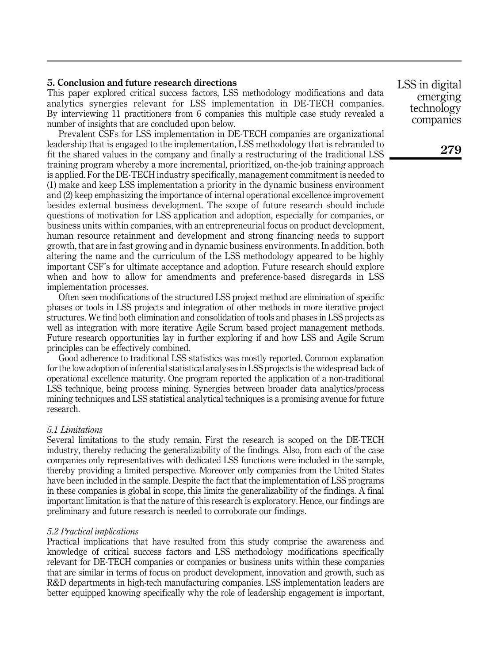## <span id="page-20-0"></span>5. Conclusion and future research directions

This paper explored critical success factors, LSS methodology modifications and data analytics synergies relevant for LSS implementation in DE-TECH companies. By interviewing 11 practitioners from 6 companies this multiple case study revealed a number of insights that are concluded upon below.

Prevalent CSFs for LSS implementation in DE-TECH companies are organizational leadership that is engaged to the implementation, LSS methodology that is rebranded to fit the shared values in the company and finally a restructuring of the traditional LSS training program whereby a more incremental, prioritized, on-the-job training approach is applied. For the DE-TECH industry specifically, management commitment is needed to (1) make and keep LSS implementation a priority in the dynamic business environment and (2) keep emphasizing the importance of internal operational excellence improvement besides external business development. The scope of future research should include questions of motivation for LSS application and adoption, especially for companies, or business units within companies, with an entrepreneurial focus on product development, human resource retainment and development and strong financing needs to support growth, that are in fast growing and in dynamic business environments. In addition, both altering the name and the curriculum of the LSS methodology appeared to be highly important CSF's for ultimate acceptance and adoption. Future research should explore when and how to allow for amendments and preference-based disregards in LSS implementation processes.

Often seen modifications of the structured LSS project method are elimination of specific phases or tools in LSS projects and integration of other methods in more iterative project structures. We find both elimination and consolidation of tools and phases in LSS projects as well as integration with more iterative Agile Scrum based project management methods. Future research opportunities lay in further exploring if and how LSS and Agile Scrum principles can be effectively combined.

Good adherence to traditional LSS statistics was mostly reported. Common explanation for the low adoption of inferential statistical analyses in LSS projects is the widespread lack of operational excellence maturity. One program reported the application of a non-traditional LSS technique, being process mining. Synergies between broader data analytics/process mining techniques and LSS statistical analytical techniques is a promising avenue for future research.

## 5.1 Limitations

Several limitations to the study remain. First the research is scoped on the DE-TECH industry, thereby reducing the generalizability of the findings. Also, from each of the case companies only representatives with dedicated LSS functions were included in the sample, thereby providing a limited perspective. Moreover only companies from the United States have been included in the sample. Despite the fact that the implementation of LSS programs in these companies is global in scope, this limits the generalizability of the findings. A final important limitation is that the nature of this research is exploratory. Hence, our findings are preliminary and future research is needed to corroborate our findings.

#### 5.2 Practical implications

Practical implications that have resulted from this study comprise the awareness and knowledge of critical success factors and LSS methodology modifications specifically relevant for DE-TECH companies or companies or business units within these companies that are similar in terms of focus on product development, innovation and growth, such as R&D departments in high-tech manufacturing companies. LSS implementation leaders are better equipped knowing specifically why the role of leadership engagement is important,

LSS in digital emerging technology companies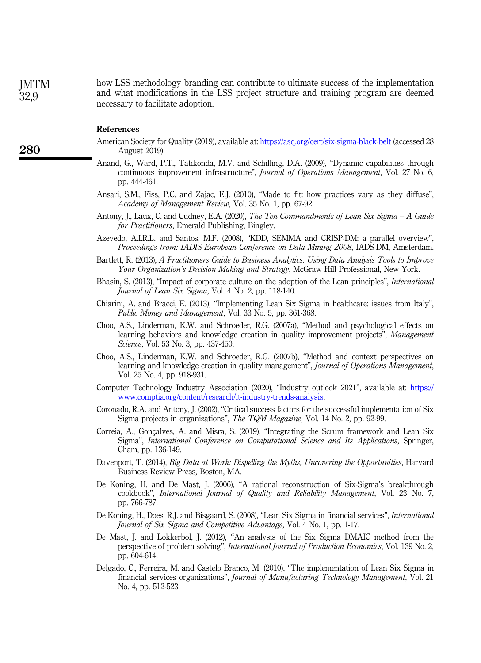how LSS methodology branding can contribute to ultimate success of the implementation and what modifications in the LSS project structure and training program are deemed necessary to facilitate adoption. **IMTM** 

#### References

- <span id="page-21-11"></span>American Society for Quality (2019), available at: <https://asq.org/cert/six-sigma-black-belt> (accessed 28 August 2019).
- <span id="page-21-12"></span>Anand, G., Ward, P.T., Tatikonda, M.V. and Schilling, D.A. (2009), "Dynamic capabilities through continuous improvement infrastructure", Journal of Operations Management, Vol. 27 No. 6, pp. 444-461.
- <span id="page-21-13"></span>Ansari, S.M., Fiss, P.C. and Zajac, E.J. (2010), "Made to fit: how practices vary as they diffuse", Academy of Management Review, Vol. 35 No. 1, pp. 67-92.
- <span id="page-21-2"></span>Antony, J., Laux, C. and Cudney, E.A. (2020), *The Ten Commandments of Lean Six Sigma – A Guide* for Practitioners, Emerald Publishing, Bingley.
- <span id="page-21-10"></span>Azevedo, A.I.R.L. and Santos, M.F. (2008), "KDD, SEMMA and CRISP-DM: a parallel overview", Proceedings from: IADIS European Conference on Data Mining 2008, IADS-DM, Amsterdam.
- <span id="page-21-9"></span>Bartlett, R. (2013), A Practitioners Guide to Business Analytics: Using Data Analysis Tools to Improve Your Organization's Decision Making and Strategy, McGraw Hill Professional, New York.
- <span id="page-21-14"></span>Bhasin, S. (2013), "Impact of corporate culture on the adoption of the Lean principles", International Journal of Lean Six Sigma, Vol. 4 No. 2, pp. 118-140.
- <span id="page-21-4"></span>Chiarini, A. and Bracci, E. (2013), "Implementing Lean Six Sigma in healthcare: issues from Italy", Public Money and Management, Vol. 33 No. 5, pp. 361-368.
- <span id="page-21-3"></span>Choo, A.S., Linderman, K.W. and Schroeder, R.G. (2007a), "Method and psychological effects on learning behaviors and knowledge creation in quality improvement projects", Management Science, Vol. 53 No. 3, pp. 437-450.
- <span id="page-21-16"></span>Choo, A.S., Linderman, K.W. and Schroeder, R.G. (2007b), "Method and context perspectives on learning and knowledge creation in quality management", *Journal of Operations Management*, Vol. 25 No. 4, pp. 918-931.
- <span id="page-21-0"></span>Computer Technology Industry Association (2020), "Industry outlook 2021", available at: [https://](https://www.comptia.org/content/research/it-industry-trends-analysis) [www.comptia.org/content/research/it-industry-trends-analysis.](https://www.comptia.org/content/research/it-industry-trends-analysis)
- <span id="page-21-15"></span>Coronado, R.A. and Antony, J. (2002), "Critical success factors for the successful implementation of Six Sigma projects in organizations", The TQM Magazine, Vol. 14 No. 2, pp. 92-99.
- <span id="page-21-17"></span>Correia, A., Gonçalves, A. and Misra, S. (2019), "Integrating the Scrum framework and Lean Six Sigma", International Conference on Computational Science and Its Applications, Springer, Cham, pp. 136-149.
- <span id="page-21-8"></span>Davenport, T. (2014), Big Data at Work: Dispelling the Myths, Uncovering the Opportunities, Harvard Business Review Press, Boston, MA.
- <span id="page-21-6"></span>De Koning, H. and De Mast, J. (2006), "A rational reconstruction of Six-Sigma's breakthrough cookbook", International Journal of Quality and Reliability Management, Vol. 23 No. 7, pp. 766-787.
- <span id="page-21-5"></span>De Koning, H., Does, R.J. and Bisgaard, S. (2008), "Lean Six Sigma in financial services", International Journal of Six Sigma and Competitive Advantage, Vol. 4 No. 1, pp. 1-17.
- <span id="page-21-7"></span>De Mast, J. and Lokkerbol, J. (2012), "An analysis of the Six Sigma DMAIC method from the perspective of problem solving", International Journal of Production Economics, Vol. 139 No. 2, pp. 604-614.
- <span id="page-21-1"></span>Delgado, C., Ferreira, M. and Castelo Branco, M. (2010), "The implementation of Lean Six Sigma in financial services organizations", Journal of Manufacturing Technology Management, Vol. 21 No. 4, pp. 512-523.

280

32,9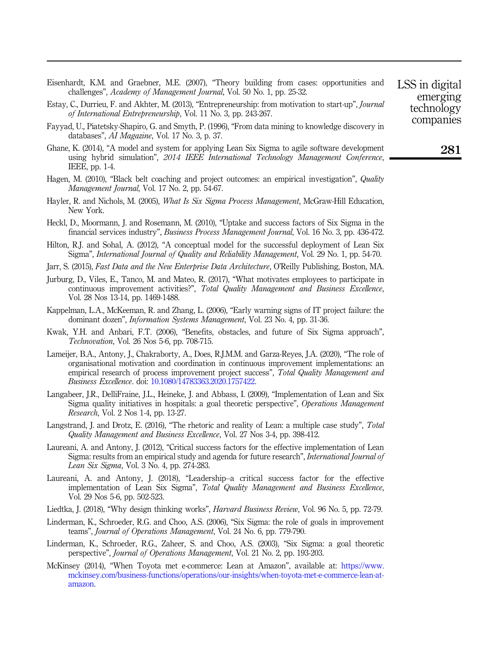- <span id="page-22-11"></span>Eisenhardt, K.M. and Graebner, M.E. (2007), "Theory building from cases: opportunities and challenges", Academy of Management Journal, Vol. 50 No. 1, pp. 25-32.
- <span id="page-22-14"></span>Estay, C., Durrieu, F. and Akhter, M. (2013), "Entrepreneurship: from motivation to start-up", Journal of International Entrepreneurship, Vol. 11 No. 3, pp. 243-267.
- <span id="page-22-9"></span>Fayyad, U., Piatetsky-Shapiro, G. and Smyth, P. (1996), "From data mining to knowledge discovery in databases", AI Magazine, Vol. 17 No. 3, p. 37.
- <span id="page-22-7"></span>Ghane, K. (2014), "A model and system for applying Lean Six Sigma to agile software development using hybrid simulation", 2014 IEEE International Technology Management Conference, IEEE, pp. 1-4.
- <span id="page-22-3"></span>Hagen, M. (2010), "Black belt coaching and project outcomes: an empirical investigation", *Quality* Management Journal, Vol. 17 No. 2, pp. 54-67.
- <span id="page-22-8"></span>Hayler, R. and Nichols, M. (2005), *What Is Six Sigma Process Management*, McGraw-Hill Education, New York.
- <span id="page-22-6"></span>Heckl, D., Moormann, J. and Rosemann, M. (2010), "Uptake and success factors of Six Sigma in the financial services industry", Business Process Management Journal, Vol. 16 No. 3, pp. 436-472.
- <span id="page-22-4"></span>Hilton, R.J. and Sohal, A. (2012), "A conceptual model for the successful deployment of Lean Six Sigma", International Journal of Quality and Reliability Management, Vol. 29 No. 1, pp. 54-70.
- <span id="page-22-10"></span>Jarr, S. (2015), Fast Data and the New Enterprise Data Architecture, O'Reilly Publishing, Boston, MA.
- <span id="page-22-18"></span>Jurburg, D., Viles, E., Tanco, M. and Mateo, R. (2017), "What motivates employees to participate in continuous improvement activities?", Total Quality Management and Business Excellence, Vol. 28 Nos 13-14, pp. 1469-1488.
- <span id="page-22-17"></span>Kappelman, L.A., McKeeman, R. and Zhang, L. (2006), "Early warning signs of IT project failure: the dominant dozen", Information Systems Management, Vol. 23 No. 4, pp. 31-36.
- <span id="page-22-12"></span>Kwak, Y.H. and Anbari, F.T. (2006), "Benefits, obstacles, and future of Six Sigma approach", Technovation, Vol. 26 Nos 5-6, pp. 708-715.
- <span id="page-22-19"></span>Lameijer, B.A., Antony, J., Chakraborty, A., Does, R.J.M.M. and Garza-Reyes, J.A. (2020), "The role of organisational motivation and coordination in continuous improvement implementations: an empirical research of process improvement project success", Total Quality Management and Business Excellence. doi: [10.1080/14783363.2020.1757422](https://doi.org/10.1080/14783363.2020.1757422).
- <span id="page-22-5"></span>Langabeer, J.R., DelliFraine, J.L., Heineke, J. and Abbass, I. (2009), "Implementation of Lean and Six Sigma quality initiatives in hospitals: a goal theoretic perspective", Operations Management Research, Vol. 2 Nos 1-4, pp. 13-27.
- <span id="page-22-16"></span>Langstrand, J. and Drotz, E. (2016), "The rhetoric and reality of Lean: a multiple case study", *Total* Quality Management and Business Excellence, Vol. 27 Nos 3-4, pp. 398-412.
- <span id="page-22-13"></span>Laureani, A. and Antony, J. (2012), "Critical success factors for the effective implementation of Lean Sigma: results from an empirical study and agenda for future research", International Journal of Lean Six Sigma, Vol. 3 No. 4, pp. 274-283.
- <span id="page-22-20"></span>Laureani, A. and Antony, J. (2018), "Leadership–a critical success factor for the effective implementation of Lean Six Sigma", Total Quality Management and Business Excellence, Vol. 29 Nos 5-6, pp. 502-523.
- <span id="page-22-15"></span>Liedtka, J. (2018), "Why design thinking works", *Harvard Business Review*, Vol. 96 No. 5, pp. 72-79.
- <span id="page-22-2"></span>Linderman, K., Schroeder, R.G. and Choo, A.S. (2006), "Six Sigma: the role of goals in improvement teams", Journal of Operations Management, Vol. 24 No. 6, pp. 779-790.
- <span id="page-22-1"></span>Linderman, K., Schroeder, R.G., Zaheer, S. and Choo, A.S. (2003), "Six Sigma: a goal theoretic perspective", Journal of Operations Management, Vol. 21 No. 2, pp. 193-203.
- <span id="page-22-0"></span>McKinsey (2014), "When Toyota met e-commerce: Lean at Amazon", available at: [https://www.](https://www.mckinsey.com/business-functions/operations/our-insights/when-toyota-met-e-commerce-lean-at-amazon) [mckinsey.com/business-functions/operations/our-insights/when-toyota-met-e-commerce-lean-at](https://www.mckinsey.com/business-functions/operations/our-insights/when-toyota-met-e-commerce-lean-at-amazon)[amazon](https://www.mckinsey.com/business-functions/operations/our-insights/when-toyota-met-e-commerce-lean-at-amazon).

LSS in digital emerging technology companies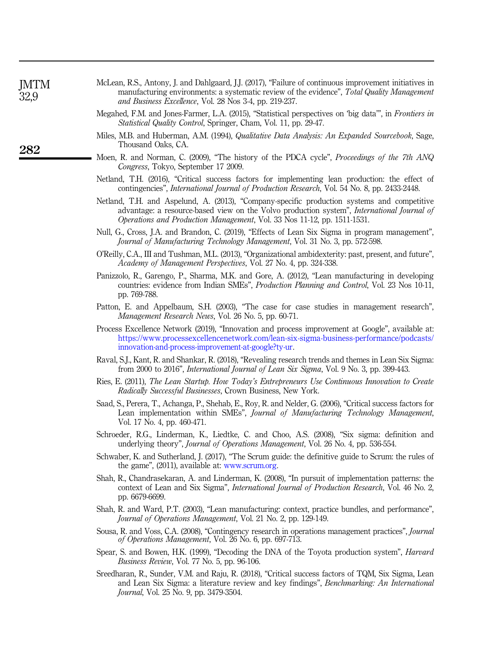<span id="page-23-19"></span>

| JMTM<br>32,9 | McLean, R.S., Antony, J. and Dahlgaard, J.J. (2017), "Failure of continuous improvement initiatives in<br>manufacturing environments: a systematic review of the evidence", Total Quality Management<br>and Business Excellence, Vol. 28 Nos 3-4, pp. 219-237. |
|--------------|----------------------------------------------------------------------------------------------------------------------------------------------------------------------------------------------------------------------------------------------------------------|
|              | Megahed, F.M. and Jones-Farmer, L.A. (2015), "Statistical perspectives on 'big data", in <i>Frontiers in</i><br><i>Statistical Quality Control, Springer, Cham, Vol. 11, pp. 29-47.</i>                                                                        |
| 282          | Miles, M.B. and Huberman, A.M. (1994), <i>Qualitative Data Analysis: An Expanded Sourcebook</i> , Sage.<br>Thousand Oaks. CA.                                                                                                                                  |
|              | Moen, R. and Norman, C. (2009), "The history of the PDCA cycle", <i>Proceedings of the 7th AN</i><br>Congress, Tokyo, September 17 2009.                                                                                                                       |

- <span id="page-23-12"></span><span id="page-23-10"></span><span id="page-23-9"></span><span id="page-23-5"></span>Netland, T.H. (2016), "Critical success factors for implementing lean production: the effect of contingencies", International Journal of Production Research, Vol. 54 No. 8, pp. 2433-2448.
- <span id="page-23-18"></span>Netland, T.H. and Aspelund, A. (2013), "Company-specific production systems and competitive advantage: a resource-based view on the Volvo production system", International Journal of Operations and Production Management, Vol. 33 Nos 11-12, pp. 1511-1531.
- <span id="page-23-20"></span>Null, G., Cross, J.A. and Brandon, C. (2019), "Effects of Lean Six Sigma in program management", Journal of Manufacturing Technology Management, Vol. 31 No. 3, pp. 572-598.
- <span id="page-23-16"></span>O'Reilly, C.A., III and Tushman, M.L. (2013), "Organizational ambidexterity: past, present, and future", Academy of Management Perspectives, Vol. 27 No. 4, pp. 324-338.
- <span id="page-23-15"></span>Panizzolo, R., Garengo, P., Sharma, M.K. and Gore, A. (2012), "Lean manufacturing in developing countries: evidence from Indian SMEs", Production Planning and Control, Vol. 23 Nos 10-11, pp. 769-788.
- <span id="page-23-11"></span>Patton, E. and Appelbaum, S.H. (2003), "The case for case studies in management research", Management Research News, Vol. 26 No. 5, pp. 60-71.
- <span id="page-23-1"></span>Process Excellence Network (2019), "Innovation and process improvement at Google", available at: [https://www.processexcellencenetwork.com/lean-six-sigma-business-performance/podcasts/](https://www.processexcellencenetwork.com/lean-six-sigma-business-performance/podcasts/innovation-and-process-improvement-at-google?ty-ur) [innovation-and-process-improvement-at-google?ty-ur](https://www.processexcellencenetwork.com/lean-six-sigma-business-performance/podcasts/innovation-and-process-improvement-at-google?ty-ur).
- <span id="page-23-6"></span>Raval, S.J., Kant, R. and Shankar, R. (2018), "Revealing research trends and themes in Lean Six Sigma: from 2000 to 2016", International Journal of Lean Six Sigma, Vol. 9 No. 3, pp. 399-443.
- <span id="page-23-17"></span>Ries, E. (2011), The Lean Startup. How Today's Entrepreneurs Use Continuous Innovation to Create Radically Successful Businesses, Crown Business, New York.
- <span id="page-23-14"></span>Saad, S., Perera, T., Achanga, P., Shehab, E., Roy, R. and Nelder, G. (2006), "Critical success factors for Lean implementation within SMEs", Journal of Manufacturing Technology Management, Vol. 17 No. 4, pp. 460-471.
- <span id="page-23-4"></span>Schroeder, R.G., Linderman, K., Liedtke, C. and Choo, A.S. (2008), "Six sigma: definition and underlying theory", Journal of Operations Management, Vol. 26 No. 4, pp. 536-554.
- <span id="page-23-13"></span>Schwaber, K. and Sutherland, J. (2017), "The Scrum guide: the definitive guide to Scrum: the rules of the game", (2011), available at: [www.scrum.org.](http://www.scrum.org)
- <span id="page-23-0"></span>Shah, R., Chandrasekaran, A. and Linderman, K. (2008), "In pursuit of implementation patterns: the context of Lean and Six Sigma", International Journal of Production Research, Vol. 46 No. 2, pp. 6679-6699.
- <span id="page-23-3"></span>Shah, R. and Ward, P.T. (2003), "Lean manufacturing: context, practice bundles, and performance", Journal of Operations Management, Vol. 21 No. 2, pp. 129-149.
- <span id="page-23-8"></span>Sousa, R. and Voss, C.A. (2008), "Contingency research in operations management practices", Journal of Operations Management, Vol. 26 No. 6, pp. 697-713.
- <span id="page-23-2"></span>Spear, S. and Bowen, H.K. (1999), "Decoding the DNA of the Toyota production system", *Harvard* Business Review, Vol. 77 No. 5, pp. 96-106.
- <span id="page-23-7"></span>Sreedharan, R., Sunder, V.M. and Raju, R. (2018), "Critical success factors of TQM, Six Sigma, Lean and Lean Six Sigma: a literature review and key findings", Benchmarking: An International Journal, Vol. 25 No. 9, pp. 3479-3504.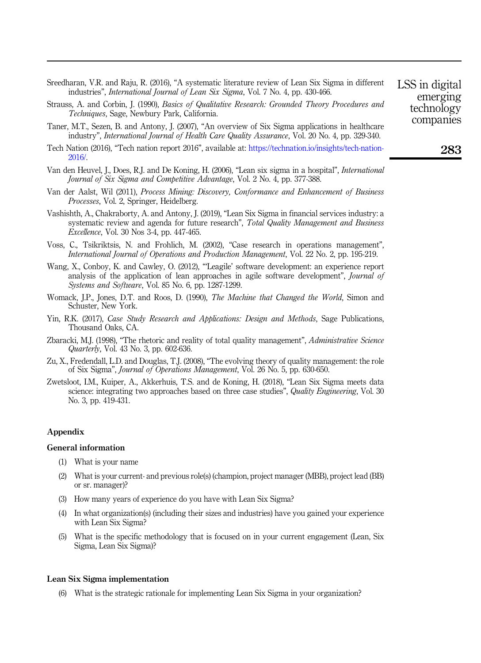<span id="page-24-1"></span>

| Sreedharan, V.R. and Raju, R. (2016), "A systematic literature review of Lean Six Sigma in different |  |
|------------------------------------------------------------------------------------------------------|--|
| industries", <i>International Journal of Lean Six Sigma</i> , Vol. 7 No. 4, pp. 430-466.             |  |

- <span id="page-24-11"></span>Strauss, A. and Corbin, J. (1990), Basics of Qualitative Research: Grounded Theory Procedures and Techniques, Sage, Newbury Park, California.
- <span id="page-24-4"></span>Taner, M.T., Sezen, B. and Antony, J. (2007), "An overview of Six Sigma applications in healthcare industry", International Journal of Health Care Quality Assurance, Vol. 20 No. 4, pp. 329-340.
- <span id="page-24-0"></span>Tech Nation (2016), "Tech nation report 2016", available at: [https://technation.io/insights/tech-nation-](https://technation.io/insights/tech-nation-2016/)[2016/](https://technation.io/insights/tech-nation-2016/).
- <span id="page-24-5"></span>Van den Heuvel, J., Does, R.J. and De Koning, H. (2006), "Lean six sigma in a hospital", International Journal of Six Sigma and Competitive Advantage, Vol. 2 No. 4, pp. 377-388.
- <span id="page-24-14"></span>Van der Aalst, Wil (2011), Process Mining: Discovery, Conformance and Enhancement of Business Processes, Vol. 2, Springer, Heidelberg.
- <span id="page-24-12"></span>Vashishth, A., Chakraborty, A. and Antony, J. (2019), "Lean Six Sigma in financial services industry: a systematic review and agenda for future research", *Total Quality Management and Business* Excellence, Vol. 30 Nos 3-4, pp. 447-465.
- <span id="page-24-8"></span>Voss, C., Tsikriktsis, N. and Frohlich, M. (2002), "Case research in operations management", International Journal of Operations and Production Management, Vol. 22 No. 2, pp. 195-219.
- <span id="page-24-6"></span>Wang, X., Conboy, K. and Cawley, O. (2012), "'Leagile' software development: an experience report analysis of the application of lean approaches in agile software development", *Journal of* Systems and Software, Vol. 85 No. 6, pp. 1287-1299.
- <span id="page-24-2"></span>Womack, J.P., Jones, D.T. and Roos, D. (1990), *The Machine that Changed the World*, Simon and Schuster, New York.
- <span id="page-24-9"></span>Yin, R.K. (2017), Case Study Research and Applications: Design and Methods, Sage Publications. Thousand Oaks, CA.
- <span id="page-24-13"></span>Zbaracki, M.J. (1998), "The rhetoric and reality of total quality management", Administrative Science Quarterly, Vol. 43 No. 3, pp. 602-636.
- <span id="page-24-3"></span>Zu, X., Fredendall, L.D. and Douglas, T.J. (2008), "The evolving theory of quality management: the role of Six Sigma", Journal of Operations Management, Vol. 26 No. 5, pp. 630-650.
- <span id="page-24-7"></span>Zwetsloot, I.M., Kuiper, A., Akkerhuis, T.S. and de Koning, H. (2018), "Lean Six Sigma meets data science: integrating two approaches based on three case studies", Quality Engineering, Vol. 30 No. 3, pp. 419-431.

#### Appendix

#### General information

- (1) What is your name
- (2) What is your current- and previous role(s) (champion, project manager (MBB), project lead (BB) or sr. manager)?
- (3) How many years of experience do you have with Lean Six Sigma?
- (4) In what organization(s) (including their sizes and industries) have you gained your experience with Lean Six Sigma?
- (5) What is the specific methodology that is focused on in your current engagement (Lean, Six Sigma, Lean Six Sigma)?

#### <span id="page-24-10"></span>Lean Six Sigma implementation

(6) What is the strategic rationale for implementing Lean Six Sigma in your organization?

LSS in digital emerging technology companies